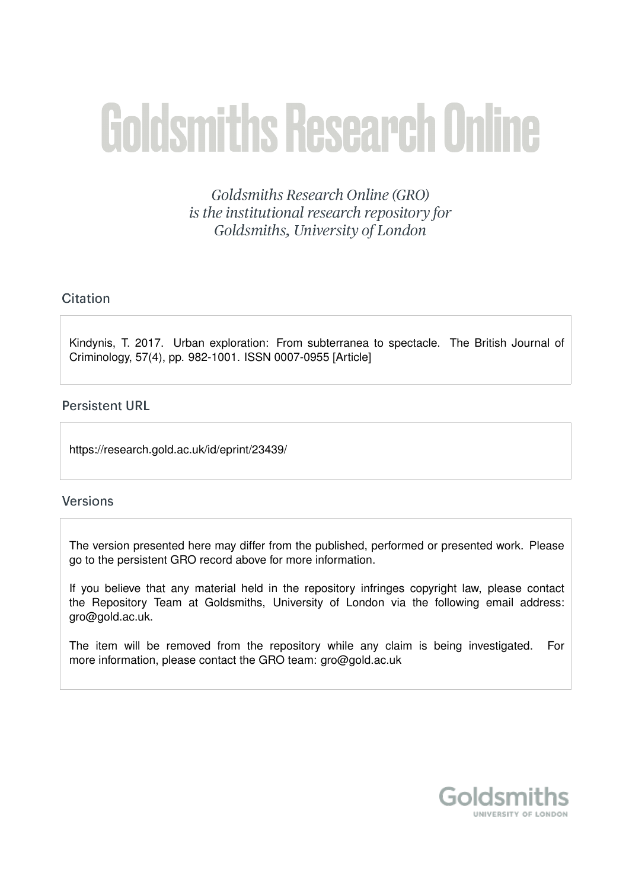# **Goldsmiths Research Online**

Goldsmiths Research Online (GRO) is the institutional research repository for Goldsmiths, University of London

# Citation

Kindynis, T. 2017. Urban exploration: From subterranea to spectacle. The British Journal of Criminology, 57(4), pp. 982-1001. ISSN 0007-0955 [Article]

# **Persistent URL**

https://research.gold.ac.uk/id/eprint/23439/

# **Versions**

The version presented here may differ from the published, performed or presented work. Please go to the persistent GRO record above for more information.

If you believe that any material held in the repository infringes copyright law, please contact the Repository Team at Goldsmiths, University of London via the following email address: gro@gold.ac.uk.

The item will be removed from the repository while any claim is being investigated. For more information, please contact the GRO team: gro@gold.ac.uk

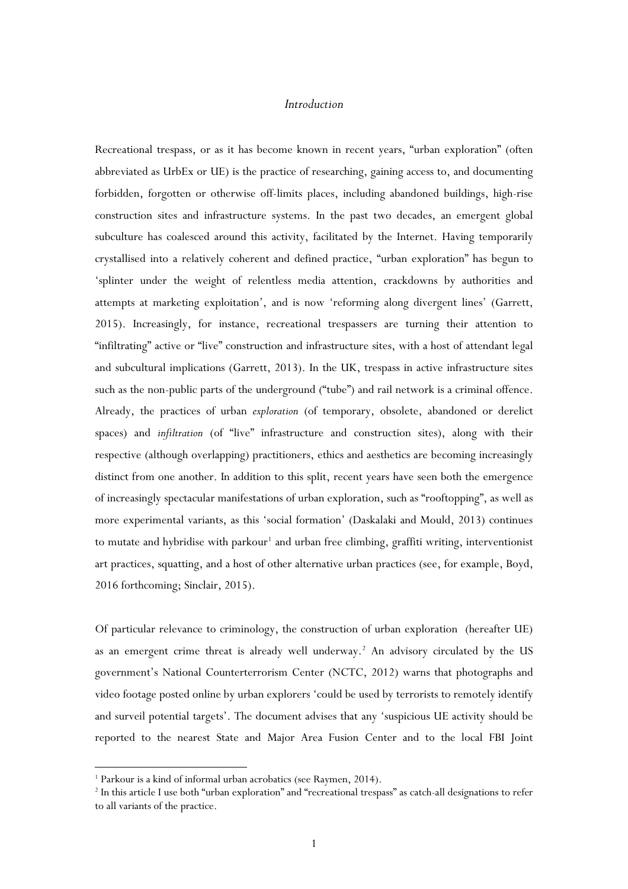## *Introduction*

Recreational trespass, or as it has become known in recent years, "urban exploration" (often abbreviated as UrbEx or UE) is the practice of researching, gaining access to, and documenting forbidden, forgotten or otherwise off-limits places, including abandoned buildings, high-rise construction sites and infrastructure systems. In the past two decades, an emergent global subculture has coalesced around this activity, facilitated by the Internet. Having temporarily crystallised into a relatively coherent and defined practice, "urban exploration" has begun to 'splinter under the weight of relentless media attention, crackdowns by authorities and attempts at marketing exploitation', and is now 'reforming along divergent lines' (Garrett, 2015). Increasingly, for instance, recreational trespassers are turning their attention to "infiltrating" active or "live" construction and infrastructure sites, with a host of attendant legal and subcultural implications (Garrett, 2013). In the UK, trespass in active infrastructure sites such as the non-public parts of the underground ("tube") and rail network is a criminal offence. Already, the practices of urban *exploration* (of temporary, obsolete, abandoned or derelict spaces) and *infiltration* (of "live" infrastructure and construction sites), along with their respective (although overlapping) practitioners, ethics and aesthetics are becoming increasingly distinct from one another. In addition to this split, recent years have seen both the emergence of increasingly spectacular manifestations of urban exploration, such as "rooftopping", as well as more experimental variants, as this 'social formation' (Daskalaki and Mould, 2013) continues to mutate and hybridise with parkour<sup>[1](#page-1-0)</sup> and urban free climbing, graffiti writing, interventionist art practices, squatting, and a host of other alternative urban practices (see, for example, Boyd, 2016 forthcoming; Sinclair, 2015).

Of particular relevance to criminology, the construction of urban exploration (hereafter UE) as an emergent crime threat is already well underway.<sup>[2](#page-1-1)</sup> An advisory circulated by the US government's National Counterterrorism Center (NCTC, 2012) warns that photographs and video footage posted online by urban explorers 'could be used by terrorists to remotely identify and surveil potential targets'. The document advises that any 'suspicious UE activity should be reported to the nearest State and Major Area Fusion Center and to the local FBI Joint

<span id="page-1-0"></span><sup>&</sup>lt;sup>1</sup> Parkour is a kind of informal urban acrobatics (see Raymen, 2014).

<span id="page-1-1"></span><sup>2</sup> In this article I use both "urban exploration" and "recreational trespass" as catch-all designations to refer to all variants of the practice.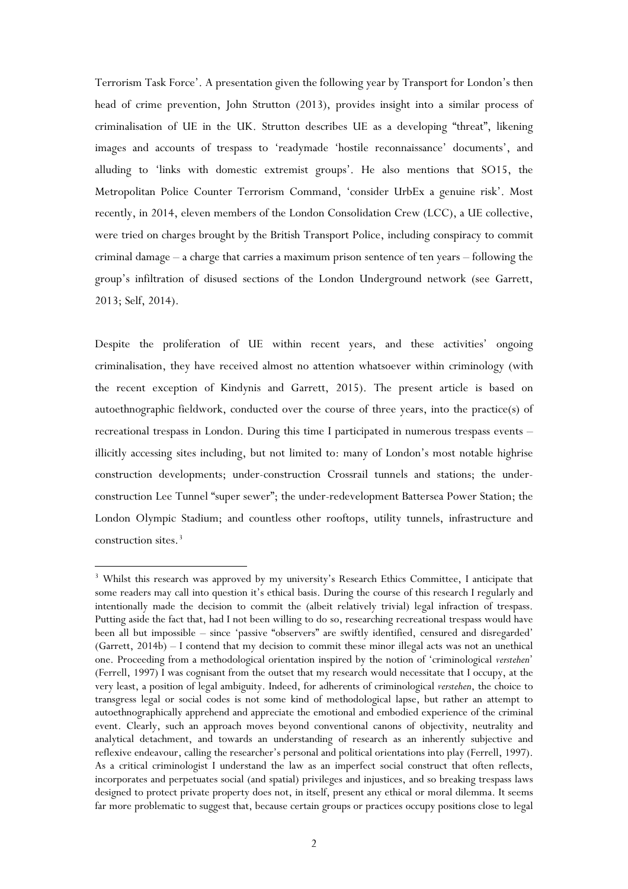Terrorism Task Force'. A presentation given the following year by Transport for London's then head of crime prevention, John Strutton (2013), provides insight into a similar process of criminalisation of UE in the UK. Strutton describes UE as a developing "threat", likening images and accounts of trespass to 'readymade 'hostile reconnaissance' documents', and alluding to 'links with domestic extremist groups'. He also mentions that SO15, the Metropolitan Police Counter Terrorism Command, 'consider UrbEx a genuine risk'. Most recently, in 2014, eleven members of the London Consolidation Crew (LCC), a UE collective, were tried on charges brought by the British Transport Police, including conspiracy to commit criminal damage – a charge that carries a maximum prison sentence of ten years – following the group's infiltration of disused sections of the London Underground network (see Garrett, 2013; Self, 2014).

Despite the proliferation of UE within recent years, and these activities' ongoing criminalisation, they have received almost no attention whatsoever within criminology (with the recent exception of Kindynis and Garrett, 2015). The present article is based on autoethnographic fieldwork, conducted over the course of three years, into the practice(s) of recreational trespass in London. During this time I participated in numerous trespass events – illicitly accessing sites including, but not limited to: many of London's most notable highrise construction developments; under-construction Crossrail tunnels and stations; the underconstruction Lee Tunnel "super sewer"; the under-redevelopment Battersea Power Station; the London Olympic Stadium; and countless other rooftops, utility tunnels, infrastructure and construction sites.<sup>[3](#page-2-0)</sup>

<span id="page-2-0"></span><sup>&</sup>lt;sup>3</sup> Whilst this research was approved by my university's Research Ethics Committee, I anticipate that some readers may call into question it's ethical basis. During the course of this research I regularly and intentionally made the decision to commit the (albeit relatively trivial) legal infraction of trespass. Putting aside the fact that, had I not been willing to do so, researching recreational trespass would have been all but impossible – since 'passive "observers" are swiftly identified, censured and disregarded' (Garrett, 2014b) – I contend that my decision to commit these minor illegal acts was not an unethical one. Proceeding from a methodological orientation inspired by the notion of 'criminological *verstehen*' (Ferrell, 1997) I was cognisant from the outset that my research would necessitate that I occupy, at the very least, a position of legal ambiguity. Indeed, for adherents of criminological *verstehen*, the choice to transgress legal or social codes is not some kind of methodological lapse, but rather an attempt to autoethnographically apprehend and appreciate the emotional and embodied experience of the criminal event. Clearly, such an approach moves beyond conventional canons of objectivity, neutrality and analytical detachment, and towards an understanding of research as an inherently subjective and reflexive endeavour, calling the researcher's personal and political orientations into play (Ferrell, 1997). As a critical criminologist I understand the law as an imperfect social construct that often reflects, incorporates and perpetuates social (and spatial) privileges and injustices, and so breaking trespass laws designed to protect private property does not, in itself, present any ethical or moral dilemma. It seems far more problematic to suggest that, because certain groups or practices occupy positions close to legal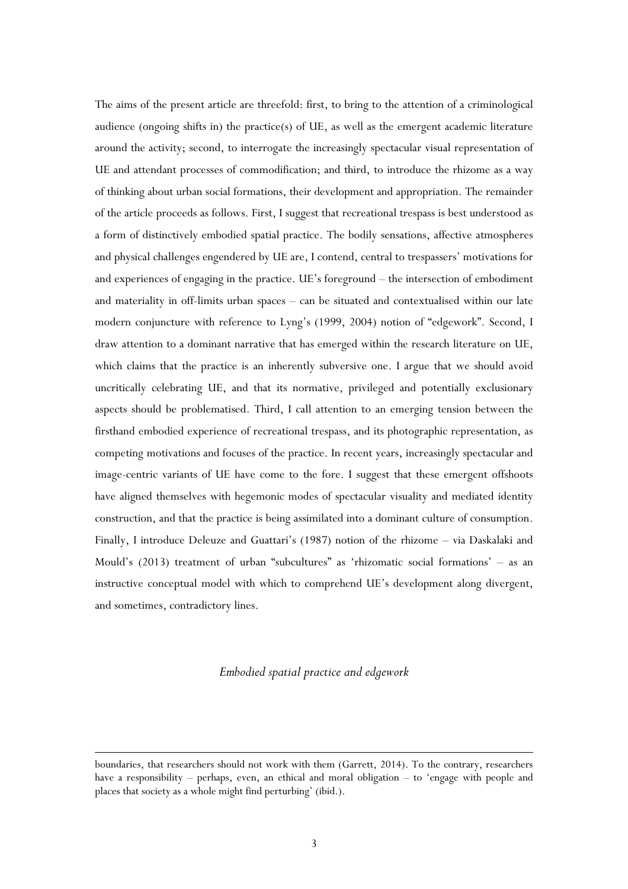The aims of the present article are threefold: first, to bring to the attention of a criminological audience (ongoing shifts in) the practice(s) of UE, as well as the emergent academic literature around the activity; second, to interrogate the increasingly spectacular visual representation of UE and attendant processes of commodification; and third, to introduce the rhizome as a way of thinking about urban social formations, their development and appropriation. The remainder of the article proceeds as follows. First, I suggest that recreational trespass is best understood as a form of distinctively embodied spatial practice. The bodily sensations, affective atmospheres and physical challenges engendered by UE are, I contend, central to trespassers' motivations for and experiences of engaging in the practice. UE's foreground – the intersection of embodiment and materiality in off-limits urban spaces – can be situated and contextualised within our late modern conjuncture with reference to Lyng's (1999, 2004) notion of "edgework". Second, I draw attention to a dominant narrative that has emerged within the research literature on UE, which claims that the practice is an inherently subversive one. I argue that we should avoid uncritically celebrating UE, and that its normative, privileged and potentially exclusionary aspects should be problematised. Third, I call attention to an emerging tension between the firsthand embodied experience of recreational trespass, and its photographic representation, as competing motivations and focuses of the practice. In recent years, increasingly spectacular and image-centric variants of UE have come to the fore. I suggest that these emergent offshoots have aligned themselves with hegemonic modes of spectacular visuality and mediated identity construction, and that the practice is being assimilated into a dominant culture of consumption. Finally, I introduce Deleuze and Guattari's (1987) notion of the rhizome – via Daskalaki and Mould's (2013) treatment of urban "subcultures" as 'rhizomatic social formations' – as an instructive conceptual model with which to comprehend UE's development along divergent, and sometimes, contradictory lines.

#### *Embodied spatial practice and edgework*

boundaries, that researchers should not work with them (Garrett, 2014). To the contrary, researchers have a responsibility – perhaps, even, an ethical and moral obligation – to 'engage with people and places that society as a whole might find perturbing' (ibid.).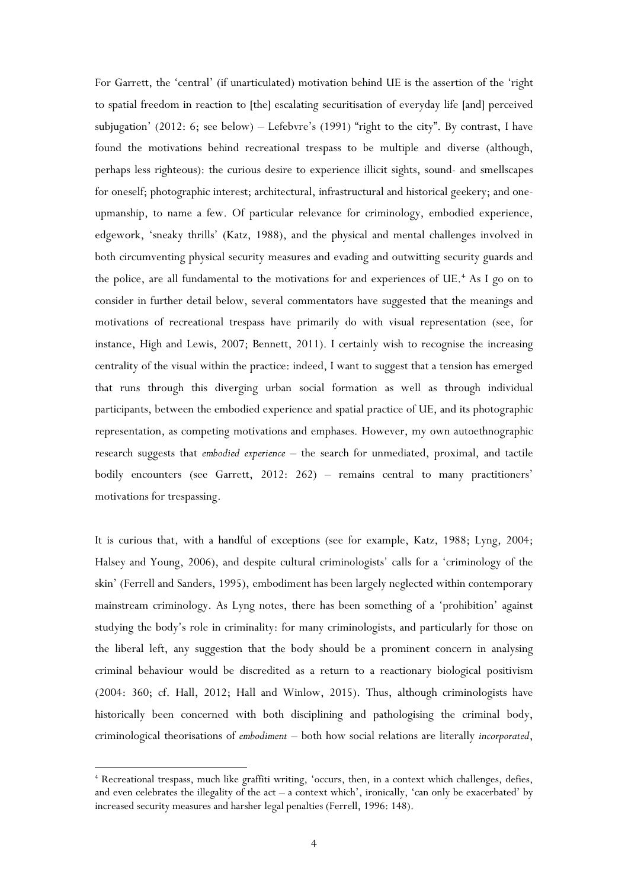For Garrett, the 'central' (if unarticulated) motivation behind UE is the assertion of the 'right to spatial freedom in reaction to [the] escalating securitisation of everyday life [and] perceived subjugation' (2012: 6; see below) – Lefebvre's (1991) "right to the city". By contrast, I have found the motivations behind recreational trespass to be multiple and diverse (although, perhaps less righteous): the curious desire to experience illicit sights, sound- and smellscapes for oneself; photographic interest; architectural, infrastructural and historical geekery; and oneupmanship, to name a few. Of particular relevance for criminology, embodied experience, edgework, 'sneaky thrills' (Katz, 1988), and the physical and mental challenges involved in both circumventing physical security measures and evading and outwitting security guards and the police, are all fundamental to the motivations for and experiences of  $UE^*$ . As I go on to consider in further detail below, several commentators have suggested that the meanings and motivations of recreational trespass have primarily do with visual representation (see, for instance, High and Lewis, 2007; Bennett, 2011). I certainly wish to recognise the increasing centrality of the visual within the practice: indeed, I want to suggest that a tension has emerged that runs through this diverging urban social formation as well as through individual participants, between the embodied experience and spatial practice of UE, and its photographic representation, as competing motivations and emphases. However, my own autoethnographic research suggests that *embodied experience* – the search for unmediated, proximal, and tactile bodily encounters (see Garrett, 2012: 262) – remains central to many practitioners' motivations for trespassing.

It is curious that, with a handful of exceptions (see for example, Katz, 1988; Lyng, 2004; Halsey and Young, 2006), and despite cultural criminologists' calls for a 'criminology of the skin' (Ferrell and Sanders, 1995), embodiment has been largely neglected within contemporary mainstream criminology. As Lyng notes, there has been something of a 'prohibition' against studying the body's role in criminality: for many criminologists, and particularly for those on the liberal left, any suggestion that the body should be a prominent concern in analysing criminal behaviour would be discredited as a return to a reactionary biological positivism (2004: 360; cf. Hall, 2012; Hall and Winlow, 2015). Thus, although criminologists have historically been concerned with both disciplining and pathologising the criminal body, criminological theorisations of *embodiment* – both how social relations are literally *incorporated*,

<span id="page-4-0"></span><sup>4</sup> Recreational trespass, much like graffiti writing, 'occurs, then, in a context which challenges, defies, and even celebrates the illegality of the  $act - a$  context which', ironically, 'can only be exacerbated' by increased security measures and harsher legal penalties (Ferrell, 1996: 148).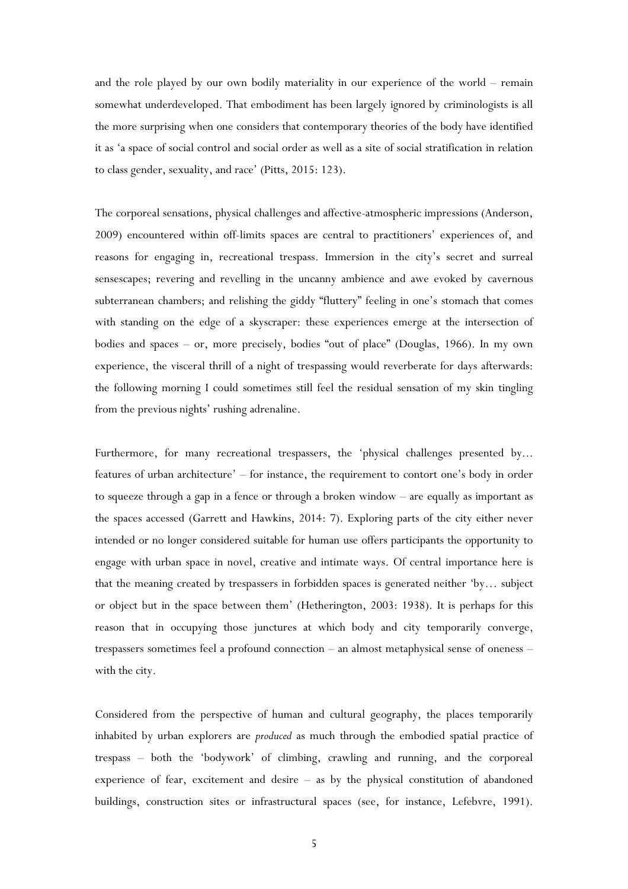and the role played by our own bodily materiality in our experience of the world – remain somewhat underdeveloped. That embodiment has been largely ignored by criminologists is all the more surprising when one considers that contemporary theories of the body have identified it as 'a space of social control and social order as well as a site of social stratification in relation to class gender, sexuality, and race' (Pitts, 2015: 123).

The corporeal sensations, physical challenges and affective-atmospheric impressions (Anderson, 2009) encountered within off-limits spaces are central to practitioners' experiences of, and reasons for engaging in, recreational trespass. Immersion in the city's secret and surreal sensescapes; revering and revelling in the uncanny ambience and awe evoked by cavernous subterranean chambers; and relishing the giddy "fluttery" feeling in one's stomach that comes with standing on the edge of a skyscraper: these experiences emerge at the intersection of bodies and spaces – or, more precisely, bodies "out of place" (Douglas, 1966). In my own experience, the visceral thrill of a night of trespassing would reverberate for days afterwards: the following morning I could sometimes still feel the residual sensation of my skin tingling from the previous nights' rushing adrenaline.

Furthermore, for many recreational trespassers, the 'physical challenges presented by... features of urban architecture' – for instance, the requirement to contort one's body in order to squeeze through a gap in a fence or through a broken window – are equally as important as the spaces accessed (Garrett and Hawkins, 2014: 7). Exploring parts of the city either never intended or no longer considered suitable for human use offers participants the opportunity to engage with urban space in novel, creative and intimate ways. Of central importance here is that the meaning created by trespassers in forbidden spaces is generated neither 'by… subject or object but in the space between them' (Hetherington, 2003: 1938). It is perhaps for this reason that in occupying those junctures at which body and city temporarily converge, trespassers sometimes feel a profound connection – an almost metaphysical sense of oneness – with the city.

Considered from the perspective of human and cultural geography, the places temporarily inhabited by urban explorers are *produced* as much through the embodied spatial practice of trespass – both the 'bodywork' of climbing, crawling and running, and the corporeal experience of fear, excitement and desire – as by the physical constitution of abandoned buildings, construction sites or infrastructural spaces (see, for instance, Lefebvre, 1991).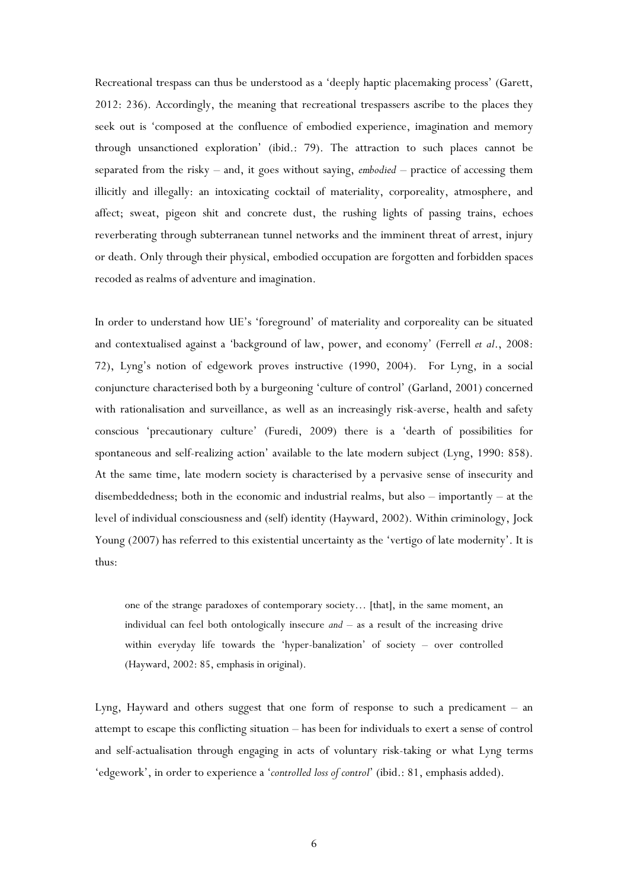Recreational trespass can thus be understood as a 'deeply haptic placemaking process' (Garett, 2012: 236). Accordingly, the meaning that recreational trespassers ascribe to the places they seek out is 'composed at the confluence of embodied experience, imagination and memory through unsanctioned exploration' (ibid.: 79). The attraction to such places cannot be separated from the risky – and, it goes without saying, *embodied* – practice of accessing them illicitly and illegally: an intoxicating cocktail of materiality, corporeality, atmosphere, and affect; sweat, pigeon shit and concrete dust, the rushing lights of passing trains, echoes reverberating through subterranean tunnel networks and the imminent threat of arrest, injury or death. Only through their physical, embodied occupation are forgotten and forbidden spaces recoded as realms of adventure and imagination.

In order to understand how UE's 'foreground' of materiality and corporeality can be situated and contextualised against a 'background of law, power, and economy' (Ferrell *et al*., 2008: 72), Lyng's notion of edgework proves instructive (1990, 2004). For Lyng, in a social conjuncture characterised both by a burgeoning 'culture of control' (Garland, 2001) concerned with rationalisation and surveillance, as well as an increasingly risk-averse, health and safety conscious 'precautionary culture' (Furedi, 2009) there is a 'dearth of possibilities for spontaneous and self-realizing action' available to the late modern subject (Lyng, 1990: 858). At the same time, late modern society is characterised by a pervasive sense of insecurity and disembeddedness; both in the economic and industrial realms, but also – importantly – at the level of individual consciousness and (self) identity (Hayward, 2002). Within criminology, Jock Young (2007) has referred to this existential uncertainty as the 'vertigo of late modernity'. It is thus:

one of the strange paradoxes of contemporary society… [that], in the same moment, an individual can feel both ontologically insecure *and* – as a result of the increasing drive within everyday life towards the 'hyper-banalization' of society – over controlled (Hayward, 2002: 85, emphasis in original).

Lyng, Hayward and others suggest that one form of response to such a predicament – an attempt to escape this conflicting situation – has been for individuals to exert a sense of control and self-actualisation through engaging in acts of voluntary risk-taking or what Lyng terms 'edgework', in order to experience a '*controlled loss of control*' (ibid.: 81, emphasis added).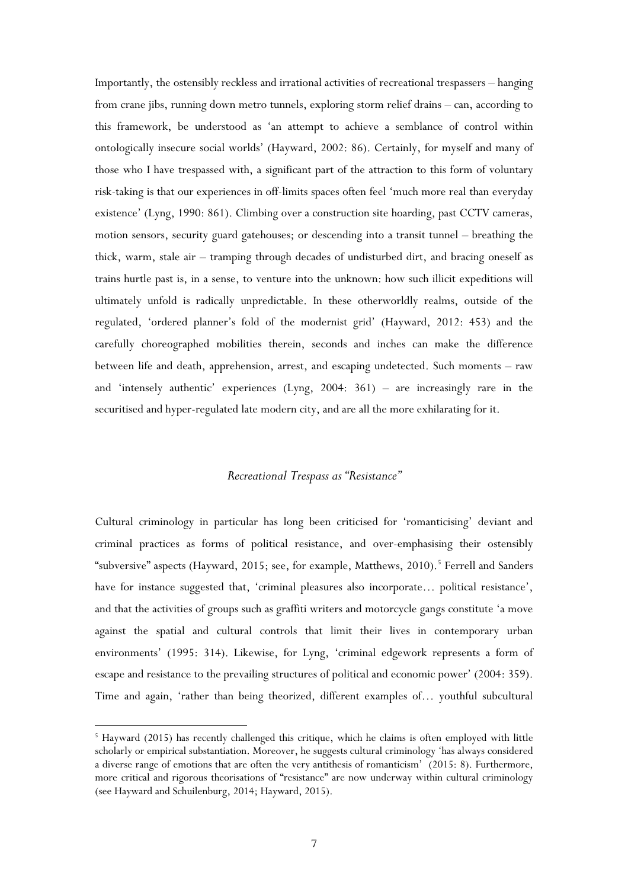Importantly, the ostensibly reckless and irrational activities of recreational trespassers – hanging from crane jibs, running down metro tunnels, exploring storm relief drains – can, according to this framework, be understood as 'an attempt to achieve a semblance of control within ontologically insecure social worlds' (Hayward, 2002: 86). Certainly, for myself and many of those who I have trespassed with, a significant part of the attraction to this form of voluntary risk-taking is that our experiences in off-limits spaces often feel 'much more real than everyday existence' (Lyng, 1990: 861). Climbing over a construction site hoarding, past CCTV cameras, motion sensors, security guard gatehouses; or descending into a transit tunnel – breathing the thick, warm, stale air – tramping through decades of undisturbed dirt, and bracing oneself as trains hurtle past is, in a sense, to venture into the unknown: how such illicit expeditions will ultimately unfold is radically unpredictable. In these otherworldly realms, outside of the regulated, 'ordered planner's fold of the modernist grid' (Hayward, 2012: 453) and the carefully choreographed mobilities therein, seconds and inches can make the difference between life and death, apprehension, arrest, and escaping undetected. Such moments – raw and 'intensely authentic' experiences (Lyng, 2004: 361) – are increasingly rare in the securitised and hyper-regulated late modern city, and are all the more exhilarating for it.

#### *Recreational Trespass as "Resistance"*

Cultural criminology in particular has long been criticised for 'romanticising' deviant and criminal practices as forms of political resistance, and over-emphasising their ostensibly "subversive" aspects (Hayward, 201[5](#page-7-0); see, for example, Matthews, 2010).<sup>5</sup> Ferrell and Sanders have for instance suggested that, 'criminal pleasures also incorporate… political resistance', and that the activities of groups such as graffiti writers and motorcycle gangs constitute 'a move against the spatial and cultural controls that limit their lives in contemporary urban environments' (1995: 314). Likewise, for Lyng, 'criminal edgework represents a form of escape and resistance to the prevailing structures of political and economic power' (2004: 359). Time and again, 'rather than being theorized, different examples of… youthful subcultural

<span id="page-7-0"></span><sup>&</sup>lt;sup>5</sup> Hayward (2015) has recently challenged this critique, which he claims is often employed with little scholarly or empirical substantiation. Moreover, he suggests cultural criminology 'has always considered a diverse range of emotions that are often the very antithesis of romanticism' (2015: 8). Furthermore, more critical and rigorous theorisations of "resistance" are now underway within cultural criminology (see Hayward and Schuilenburg, 2014; Hayward, 2015).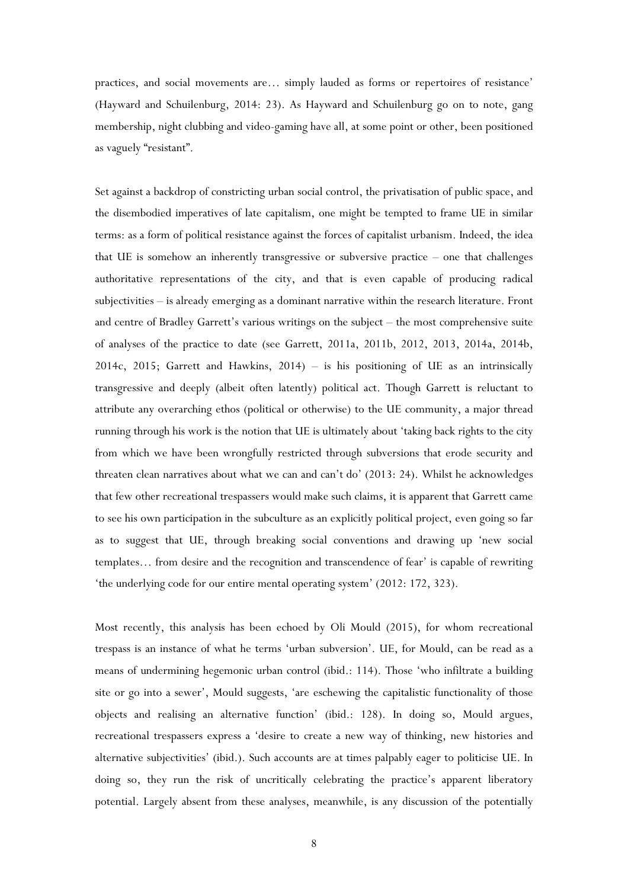practices, and social movements are… simply lauded as forms or repertoires of resistance' (Hayward and Schuilenburg, 2014: 23). As Hayward and Schuilenburg go on to note, gang membership, night clubbing and video-gaming have all, at some point or other, been positioned as vaguely "resistant".

Set against a backdrop of constricting urban social control, the privatisation of public space, and the disembodied imperatives of late capitalism, one might be tempted to frame UE in similar terms: as a form of political resistance against the forces of capitalist urbanism. Indeed, the idea that UE is somehow an inherently transgressive or subversive practice – one that challenges authoritative representations of the city, and that is even capable of producing radical subjectivities – is already emerging as a dominant narrative within the research literature. Front and centre of Bradley Garrett's various writings on the subject – the most comprehensive suite of analyses of the practice to date (see Garrett, 2011a, 2011b, 2012, 2013, 2014a, 2014b, 2014c, 2015; Garrett and Hawkins, 2014) – is his positioning of UE as an intrinsically transgressive and deeply (albeit often latently) political act. Though Garrett is reluctant to attribute any overarching ethos (political or otherwise) to the UE community, a major thread running through his work is the notion that UE is ultimately about 'taking back rights to the city from which we have been wrongfully restricted through subversions that erode security and threaten clean narratives about what we can and can't do' (2013: 24). Whilst he acknowledges that few other recreational trespassers would make such claims, it is apparent that Garrett came to see his own participation in the subculture as an explicitly political project, even going so far as to suggest that UE, through breaking social conventions and drawing up 'new social templates… from desire and the recognition and transcendence of fear' is capable of rewriting 'the underlying code for our entire mental operating system' (2012: 172, 323).

Most recently, this analysis has been echoed by Oli Mould (2015), for whom recreational trespass is an instance of what he terms 'urban subversion'. UE, for Mould, can be read as a means of undermining hegemonic urban control (ibid.: 114). Those 'who infiltrate a building site or go into a sewer', Mould suggests, 'are eschewing the capitalistic functionality of those objects and realising an alternative function' (ibid.: 128). In doing so, Mould argues, recreational trespassers express a 'desire to create a new way of thinking, new histories and alternative subjectivities' (ibid.). Such accounts are at times palpably eager to politicise UE. In doing so, they run the risk of uncritically celebrating the practice's apparent liberatory potential. Largely absent from these analyses, meanwhile, is any discussion of the potentially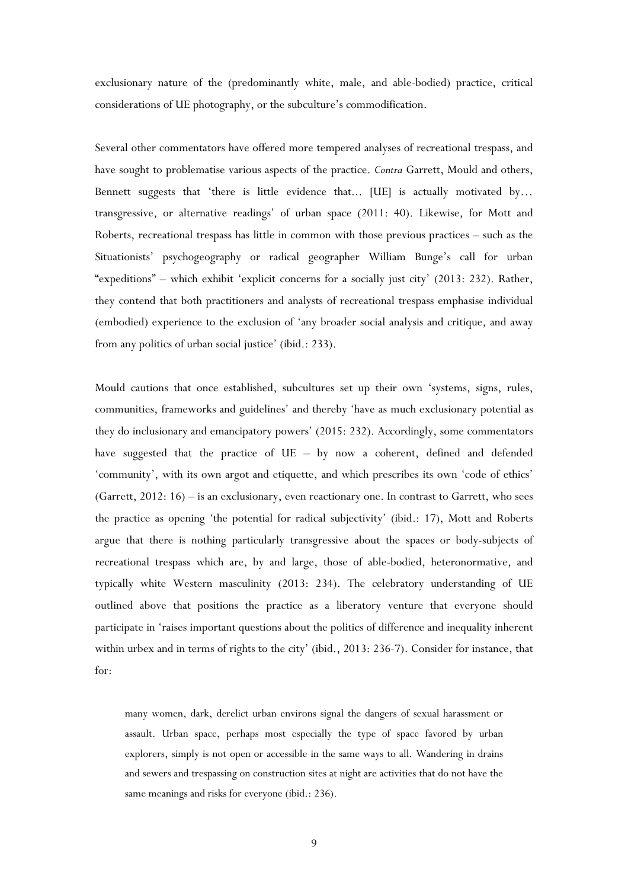exclusionary nature of the (predominantly white, male, and able-bodied) practice, critical considerations of UE photography, or the subculture's commodification.

Several other commentators have offered more tempered analyses of recreational trespass, and have sought to problematise various aspects of the practice. *Contra* Garrett, Mould and others, Bennett suggests that 'there is little evidence that... [UE] is actually motivated by… transgressive, or alternative readings' of urban space (2011: 40). Likewise, for Mott and Roberts, recreational trespass has little in common with those previous practices – such as the Situationists' psychogeography or radical geographer William Bunge's call for urban "expeditions" – which exhibit 'explicit concerns for a socially just city' (2013: 232). Rather, they contend that both practitioners and analysts of recreational trespass emphasise individual (embodied) experience to the exclusion of 'any broader social analysis and critique, and away from any politics of urban social justice' (ibid.: 233).

Mould cautions that once established, subcultures set up their own 'systems, signs, rules, communities, frameworks and guidelines' and thereby 'have as much exclusionary potential as they do inclusionary and emancipatory powers' (2015: 232). Accordingly, some commentators have suggested that the practice of UE – by now a coherent, defined and defended 'community', with its own argot and etiquette, and which prescribes its own 'code of ethics' (Garrett, 2012: 16) – is an exclusionary, even reactionary one. In contrast to Garrett, who sees the practice as opening 'the potential for radical subjectivity' (ibid.: 17), Mott and Roberts argue that there is nothing particularly transgressive about the spaces or body-subjects of recreational trespass which are, by and large, those of able-bodied, heteronormative, and typically white Western masculinity (2013: 234). The celebratory understanding of UE outlined above that positions the practice as a liberatory venture that everyone should participate in 'raises important questions about the politics of difference and inequality inherent within urbex and in terms of rights to the city' (ibid., 2013: 236-7). Consider for instance, that for:

many women, dark, derelict urban environs signal the dangers of sexual harassment or assault. Urban space, perhaps most especially the type of space favored by urban explorers, simply is not open or accessible in the same ways to all. Wandering in drains and sewers and trespassing on construction sites at night are activities that do not have the same meanings and risks for everyone (ibid.: 236).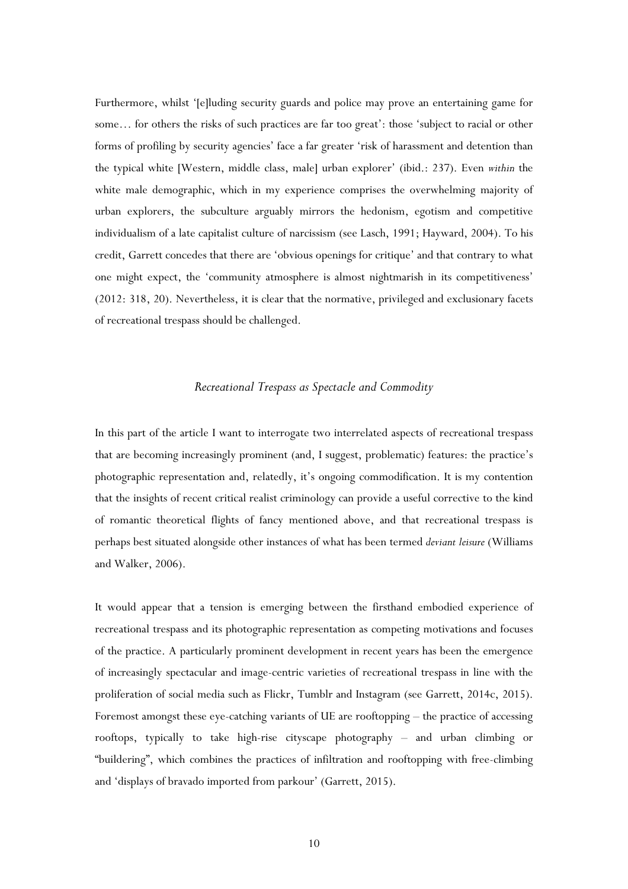Furthermore, whilst '[e]luding security guards and police may prove an entertaining game for some… for others the risks of such practices are far too great': those 'subject to racial or other forms of profiling by security agencies' face a far greater 'risk of harassment and detention than the typical white [Western, middle class, male] urban explorer' (ibid.: 237). Even *within* the white male demographic, which in my experience comprises the overwhelming majority of urban explorers, the subculture arguably mirrors the hedonism, egotism and competitive individualism of a late capitalist culture of narcissism (see Lasch, 1991; Hayward, 2004). To his credit, Garrett concedes that there are 'obvious openings for critique' and that contrary to what one might expect, the 'community atmosphere is almost nightmarish in its competitiveness' (2012: 318, 20). Nevertheless, it is clear that the normative, privileged and exclusionary facets of recreational trespass should be challenged.

#### *Recreational Trespass as Spectacle and Commodity*

In this part of the article I want to interrogate two interrelated aspects of recreational trespass that are becoming increasingly prominent (and, I suggest, problematic) features: the practice's photographic representation and, relatedly, it's ongoing commodification. It is my contention that the insights of recent critical realist criminology can provide a useful corrective to the kind of romantic theoretical flights of fancy mentioned above, and that recreational trespass is perhaps best situated alongside other instances of what has been termed *deviant leisure* (Williams and Walker, 2006).

It would appear that a tension is emerging between the firsthand embodied experience of recreational trespass and its photographic representation as competing motivations and focuses of the practice. A particularly prominent development in recent years has been the emergence of increasingly spectacular and image-centric varieties of recreational trespass in line with the proliferation of social media such as Flickr, Tumblr and Instagram (see Garrett, 2014c, 2015). Foremost amongst these eye-catching variants of UE are rooftopping – the practice of accessing rooftops, typically to take high-rise cityscape photography – and urban climbing or "buildering", which combines the practices of infiltration and rooftopping with free-climbing and 'displays of bravado imported from parkour' (Garrett, 2015).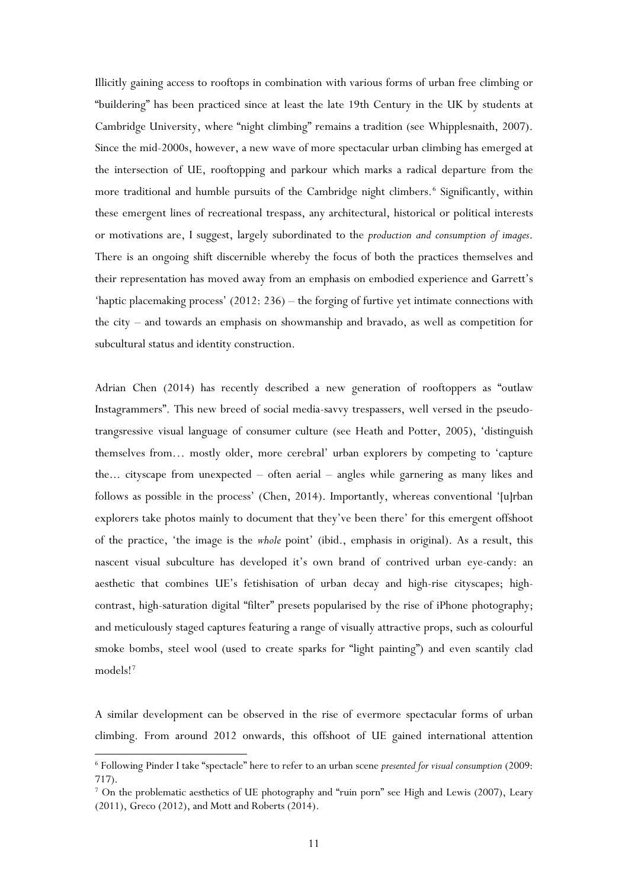Illicitly gaining access to rooftops in combination with various forms of urban free climbing or "buildering" has been practiced since at least the late 19th Century in the UK by students at Cambridge University, where "night climbing" remains a tradition (see Whipplesnaith, 2007). Since the mid-2000s, however, a new wave of more spectacular urban climbing has emerged at the intersection of UE, rooftopping and parkour which marks a radical departure from the more traditional and humble pursuits of the Cambridge night climbers.<sup>[6](#page-11-0)</sup> Significantly, within these emergent lines of recreational trespass, any architectural, historical or political interests or motivations are, I suggest, largely subordinated to the *production and consumption of images*. There is an ongoing shift discernible whereby the focus of both the practices themselves and their representation has moved away from an emphasis on embodied experience and Garrett's 'haptic placemaking process' (2012: 236) – the forging of furtive yet intimate connections with the city – and towards an emphasis on showmanship and bravado, as well as competition for subcultural status and identity construction.

Adrian Chen (2014) has recently described a new generation of rooftoppers as "outlaw Instagrammers". This new breed of social media-savvy trespassers, well versed in the pseudotrangsressive visual language of consumer culture (see Heath and Potter, 2005), 'distinguish themselves from… mostly older, more cerebral' urban explorers by competing to 'capture the... cityscape from unexpected – often aerial – angles while garnering as many likes and follows as possible in the process' (Chen, 2014). Importantly, whereas conventional '[u]rban explorers take photos mainly to document that they've been there' for this emergent offshoot of the practice, 'the image is the *whole* point' (ibid., emphasis in original). As a result, this nascent visual subculture has developed it's own brand of contrived urban eye-candy: an aesthetic that combines UE's fetishisation of urban decay and high-rise cityscapes; highcontrast, high-saturation digital "filter" presets popularised by the rise of iPhone photography; and meticulously staged captures featuring a range of visually attractive props, such as colourful smoke bombs, steel wool (used to create sparks for "light painting") and even scantily clad models![7](#page-11-1)

A similar development can be observed in the rise of evermore spectacular forms of urban climbing. From around 2012 onwards, this offshoot of UE gained international attention

<span id="page-11-0"></span><sup>6</sup> Following Pinder I take "spectacle" here to refer to an urban scene *presented for visual consumption* (2009: 717).

<span id="page-11-1"></span><sup>&</sup>lt;sup>7</sup> On the problematic aesthetics of UE photography and "ruin porn" see High and Lewis (2007), Leary (2011), Greco (2012), and Mott and Roberts (2014).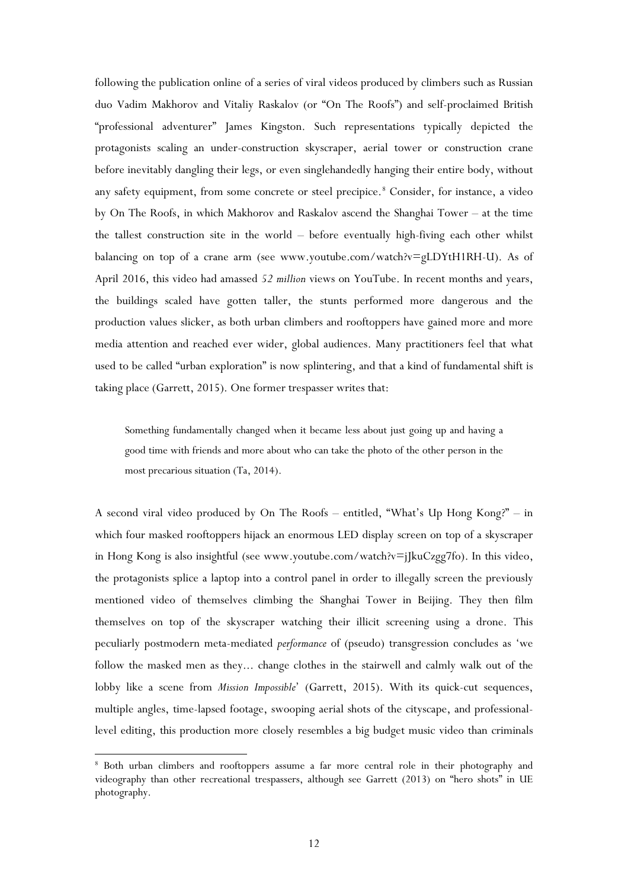following the publication online of a series of viral videos produced by climbers such as Russian duo Vadim Makhorov and Vitaliy Raskalov (or "On The Roofs") and self-proclaimed British "professional adventurer" James Kingston. Such representations typically depicted the protagonists scaling an under-construction skyscraper, aerial tower or construction crane before inevitably dangling their legs, or even singlehandedly hanging their entire body, without any safety equipment, from some concrete or steel precipice.<sup>[8](#page-12-0)</sup> Consider, for instance, a video by On The Roofs, in which Makhorov and Raskalov ascend the Shanghai Tower – at the time the tallest construction site in the world – before eventually high-fiving each other whilst balancing on top of a crane arm (see www.youtube.com/watch?v=gLDYtH1RH-U). As of April 2016, this video had amassed *52 million* views on YouTube. In recent months and years, the buildings scaled have gotten taller, the stunts performed more dangerous and the production values slicker, as both urban climbers and rooftoppers have gained more and more media attention and reached ever wider, global audiences. Many practitioners feel that what used to be called "urban exploration" is now splintering, and that a kind of fundamental shift is taking place (Garrett, 2015). One former trespasser writes that:

Something fundamentally changed when it became less about just going up and having a good time with friends and more about who can take the photo of the other person in the most precarious situation (Ta, 2014).

A second viral video produced by On The Roofs – entitled, "What's Up Hong Kong?" – in which four masked rooftoppers hijack an enormous LED display screen on top of a skyscraper in Hong Kong is also insightful (see www.youtube.com/watch?v=jJkuCzgg7fo). In this video, the protagonists splice a laptop into a control panel in order to illegally screen the previously mentioned video of themselves climbing the Shanghai Tower in Beijing. They then film themselves on top of the skyscraper watching their illicit screening using a drone. This peculiarly postmodern meta-mediated *performance* of (pseudo) transgression concludes as 'we follow the masked men as they... change clothes in the stairwell and calmly walk out of the lobby like a scene from *Mission Impossible*' (Garrett, 2015). With its quick-cut sequences, multiple angles, time-lapsed footage, swooping aerial shots of the cityscape, and professionallevel editing, this production more closely resembles a big budget music video than criminals

<span id="page-12-0"></span><sup>8</sup> Both urban climbers and rooftoppers assume a far more central role in their photography and videography than other recreational trespassers, although see Garrett (2013) on "hero shots" in UE photography.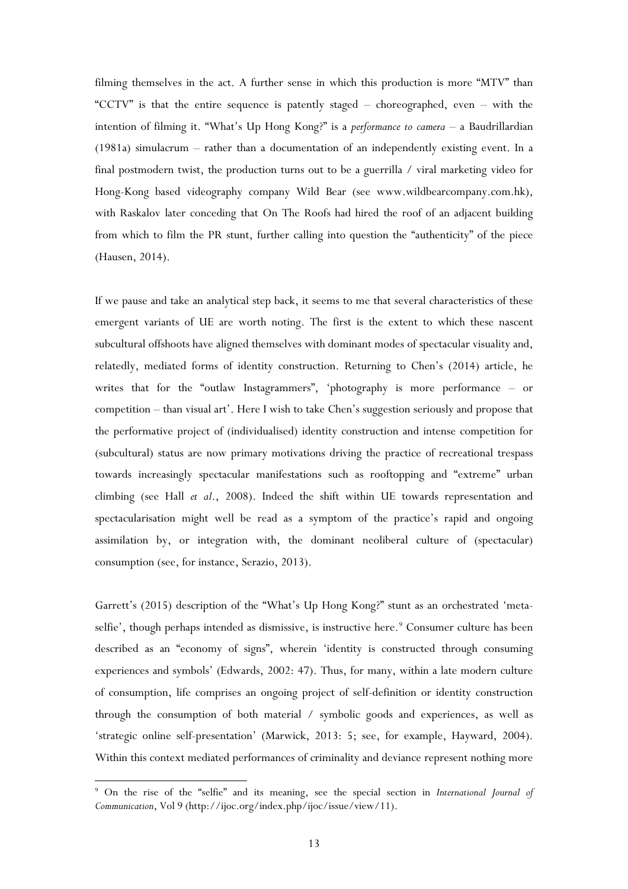filming themselves in the act. A further sense in which this production is more "MTV" than "CCTV" is that the entire sequence is patently staged – choreographed, even – with the intention of filming it. "What's Up Hong Kong?" is a *performance to camera* – a Baudrillardian (1981a) simulacrum – rather than a documentation of an independently existing event. In a final postmodern twist, the production turns out to be a guerrilla / viral marketing video for Hong-Kong based videography company Wild Bear (see www.wildbearcompany.com.hk), with Raskalov later conceding that On The Roofs had hired the roof of an adjacent building from which to film the PR stunt, further calling into question the "authenticity" of the piece (Hausen, 2014).

If we pause and take an analytical step back, it seems to me that several characteristics of these emergent variants of UE are worth noting. The first is the extent to which these nascent subcultural offshoots have aligned themselves with dominant modes of spectacular visuality and, relatedly, mediated forms of identity construction. Returning to Chen's (2014) article, he writes that for the "outlaw Instagrammers", 'photography is more performance – or competition – than visual art'. Here I wish to take Chen's suggestion seriously and propose that the performative project of (individualised) identity construction and intense competition for (subcultural) status are now primary motivations driving the practice of recreational trespass towards increasingly spectacular manifestations such as rooftopping and "extreme" urban climbing (see Hall *et al*., 2008). Indeed the shift within UE towards representation and spectacularisation might well be read as a symptom of the practice's rapid and ongoing assimilation by, or integration with, the dominant neoliberal culture of (spectacular) consumption (see, for instance, Serazio, 2013).

Garrett's (2015) description of the "What's Up Hong Kong?" stunt as an orchestrated 'meta-selfie', though perhaps intended as dismissive, is instructive here.<sup>[9](#page-13-0)</sup> Consumer culture has been described as an "economy of signs", wherein 'identity is constructed through consuming experiences and symbols' (Edwards, 2002: 47). Thus, for many, within a late modern culture of consumption, life comprises an ongoing project of self-definition or identity construction through the consumption of both material / symbolic goods and experiences, as well as 'strategic online self-presentation' (Marwick, 2013: 5; see, for example, Hayward, 2004). Within this context mediated performances of criminality and deviance represent nothing more

<span id="page-13-0"></span><sup>9</sup> On the rise of the "selfie" and its meaning, see the special section in *International Journal of Communication*, Vol 9 (http://ijoc.org/index.php/ijoc/issue/view/11).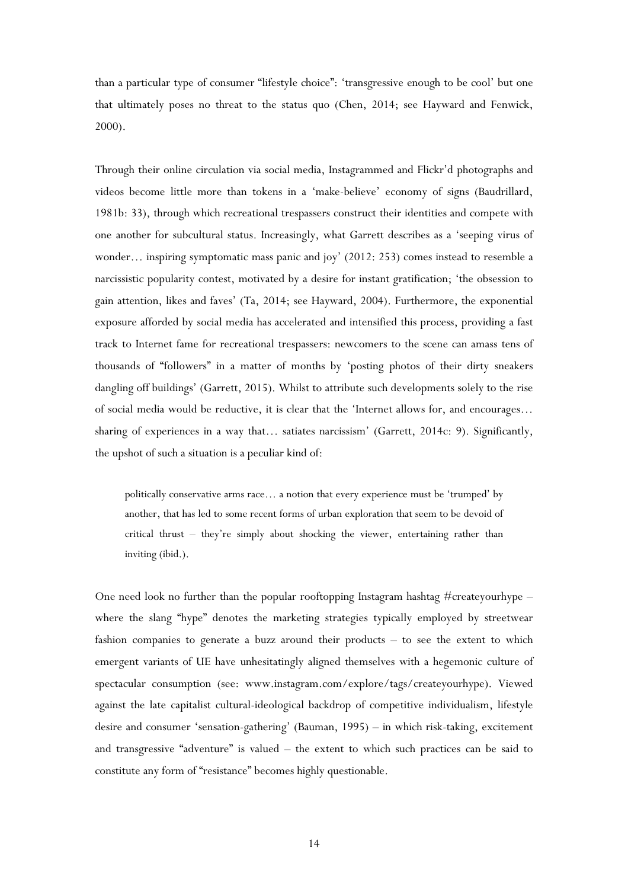than a particular type of consumer "lifestyle choice": 'transgressive enough to be cool' but one that ultimately poses no threat to the status quo (Chen, 2014; see Hayward and Fenwick, 2000).

Through their online circulation via social media, Instagrammed and Flickr'd photographs and videos become little more than tokens in a 'make-believe' economy of signs (Baudrillard, 1981b: 33), through which recreational trespassers construct their identities and compete with one another for subcultural status. Increasingly, what Garrett describes as a 'seeping virus of wonder… inspiring symptomatic mass panic and joy' (2012: 253) comes instead to resemble a narcissistic popularity contest, motivated by a desire for instant gratification; 'the obsession to gain attention, likes and faves' (Ta, 2014; see Hayward, 2004). Furthermore, the exponential exposure afforded by social media has accelerated and intensified this process, providing a fast track to Internet fame for recreational trespassers: newcomers to the scene can amass tens of thousands of "followers" in a matter of months by 'posting photos of their dirty sneakers dangling off buildings' (Garrett, 2015). Whilst to attribute such developments solely to the rise of social media would be reductive, it is clear that the 'Internet allows for, and encourages… sharing of experiences in a way that… satiates narcissism' (Garrett, 2014c: 9). Significantly, the upshot of such a situation is a peculiar kind of:

politically conservative arms race… a notion that every experience must be 'trumped' by another, that has led to some recent forms of urban exploration that seem to be devoid of critical thrust – they're simply about shocking the viewer, entertaining rather than inviting (ibid.).

One need look no further than the popular rooftopping Instagram hashtag  $\#$ createyourhype – where the slang "hype" denotes the marketing strategies typically employed by streetwear fashion companies to generate a buzz around their products – to see the extent to which emergent variants of UE have unhesitatingly aligned themselves with a hegemonic culture of spectacular consumption (see: www.instagram.com/explore/tags/createyourhype). Viewed against the late capitalist cultural-ideological backdrop of competitive individualism, lifestyle desire and consumer 'sensation-gathering' (Bauman, 1995) – in which risk-taking, excitement and transgressive "adventure" is valued – the extent to which such practices can be said to constitute any form of "resistance" becomes highly questionable.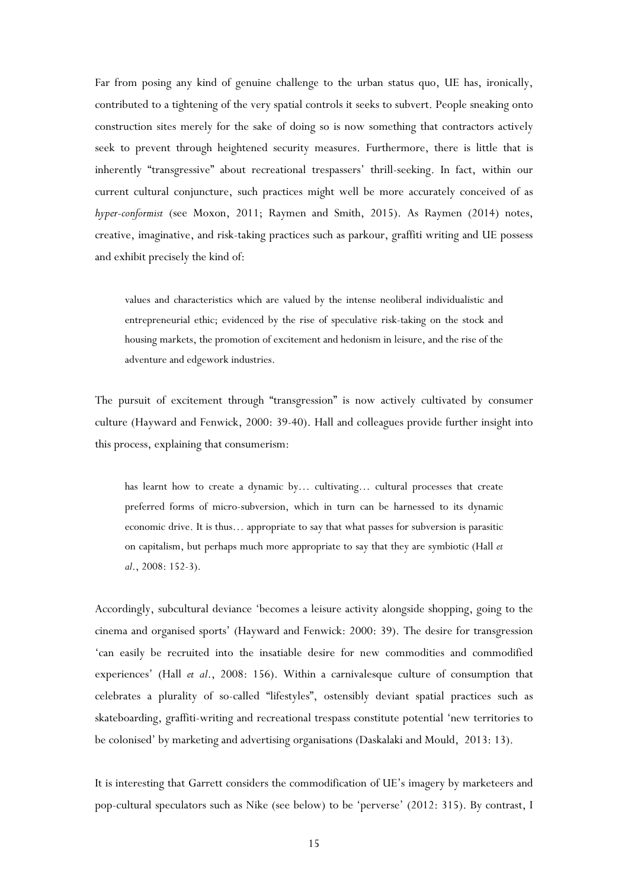Far from posing any kind of genuine challenge to the urban status quo, UE has, ironically, contributed to a tightening of the very spatial controls it seeks to subvert. People sneaking onto construction sites merely for the sake of doing so is now something that contractors actively seek to prevent through heightened security measures. Furthermore, there is little that is inherently "transgressive" about recreational trespassers' thrill-seeking. In fact, within our current cultural conjuncture, such practices might well be more accurately conceived of as *hyper-conformist* (see Moxon, 2011; Raymen and Smith, 2015). As Raymen (2014) notes, creative, imaginative, and risk-taking practices such as parkour, graffiti writing and UE possess and exhibit precisely the kind of:

values and characteristics which are valued by the intense neoliberal individualistic and entrepreneurial ethic; evidenced by the rise of speculative risk-taking on the stock and housing markets, the promotion of excitement and hedonism in leisure, and the rise of the adventure and edgework industries.

The pursuit of excitement through "transgression" is now actively cultivated by consumer culture (Hayward and Fenwick, 2000: 39-40). Hall and colleagues provide further insight into this process, explaining that consumerism:

has learnt how to create a dynamic by... cultivating... cultural processes that create preferred forms of micro-subversion, which in turn can be harnessed to its dynamic economic drive. It is thus… appropriate to say that what passes for subversion is parasitic on capitalism, but perhaps much more appropriate to say that they are symbiotic (Hall *et al*., 2008: 152-3).

Accordingly, subcultural deviance 'becomes a leisure activity alongside shopping, going to the cinema and organised sports' (Hayward and Fenwick: 2000: 39). The desire for transgression 'can easily be recruited into the insatiable desire for new commodities and commodified experiences' (Hall *et al*., 2008: 156). Within a carnivalesque culture of consumption that celebrates a plurality of so-called "lifestyles", ostensibly deviant spatial practices such as skateboarding, graffiti-writing and recreational trespass constitute potential 'new territories to be colonised' by marketing and advertising organisations (Daskalaki and Mould, 2013: 13).

It is interesting that Garrett considers the commodification of UE's imagery by marketeers and pop-cultural speculators such as Nike (see below) to be 'perverse' (2012: 315). By contrast, I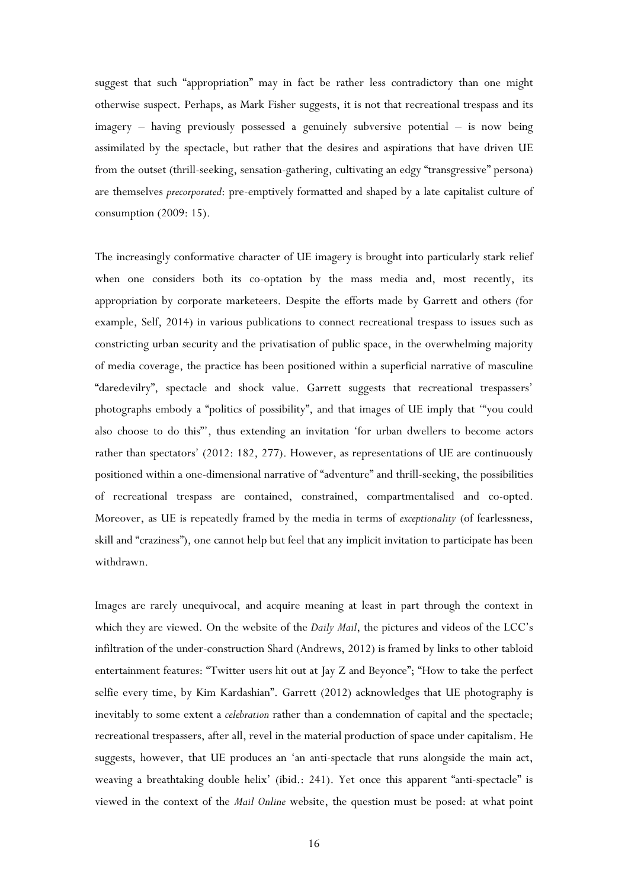suggest that such "appropriation" may in fact be rather less contradictory than one might otherwise suspect. Perhaps, as Mark Fisher suggests, it is not that recreational trespass and its imagery – having previously possessed a genuinely subversive potential – is now being assimilated by the spectacle, but rather that the desires and aspirations that have driven UE from the outset (thrill-seeking, sensation-gathering, cultivating an edgy "transgressive" persona) are themselves *precorporated*: pre-emptively formatted and shaped by a late capitalist culture of consumption (2009: 15).

The increasingly conformative character of UE imagery is brought into particularly stark relief when one considers both its co-optation by the mass media and, most recently, its appropriation by corporate marketeers. Despite the efforts made by Garrett and others (for example, Self, 2014) in various publications to connect recreational trespass to issues such as constricting urban security and the privatisation of public space, in the overwhelming majority of media coverage, the practice has been positioned within a superficial narrative of masculine "daredevilry", spectacle and shock value. Garrett suggests that recreational trespassers' photographs embody a "politics of possibility", and that images of UE imply that '"you could also choose to do this"', thus extending an invitation 'for urban dwellers to become actors rather than spectators' (2012: 182, 277). However, as representations of UE are continuously positioned within a one-dimensional narrative of "adventure" and thrill-seeking, the possibilities of recreational trespass are contained, constrained, compartmentalised and co-opted. Moreover, as UE is repeatedly framed by the media in terms of *exceptionality* (of fearlessness, skill and "craziness"), one cannot help but feel that any implicit invitation to participate has been withdrawn.

Images are rarely unequivocal, and acquire meaning at least in part through the context in which they are viewed. On the website of the *Daily Mail*, the pictures and videos of the LCC's infiltration of the under-construction Shard (Andrews, 2012) is framed by links to other tabloid entertainment features: "Twitter users hit out at Jay Z and Beyonce"; "How to take the perfect selfie every time, by Kim Kardashian". Garrett (2012) acknowledges that UE photography is inevitably to some extent a *celebration* rather than a condemnation of capital and the spectacle; recreational trespassers, after all, revel in the material production of space under capitalism. He suggests, however, that UE produces an 'an anti-spectacle that runs alongside the main act, weaving a breathtaking double helix' (ibid.: 241). Yet once this apparent "anti-spectacle" is viewed in the context of the *Mail Online* website, the question must be posed: at what point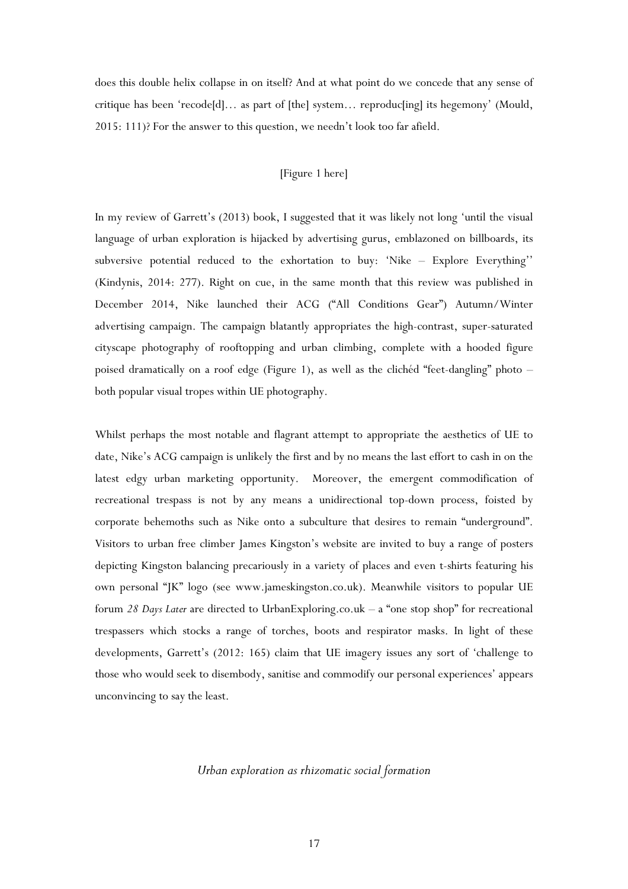does this double helix collapse in on itself? And at what point do we concede that any sense of critique has been 'recode[d]… as part of [the] system… reproduc[ing] its hegemony' (Mould, 2015: 111)? For the answer to this question, we needn't look too far afield.

#### [Figure 1 here]

In my review of Garrett's (2013) book, I suggested that it was likely not long 'until the visual language of urban exploration is hijacked by advertising gurus, emblazoned on billboards, its subversive potential reduced to the exhortation to buy: 'Nike – Explore Everything'' (Kindynis, 2014: 277). Right on cue, in the same month that this review was published in December 2014, Nike launched their ACG ("All Conditions Gear") Autumn/Winter advertising campaign. The campaign blatantly appropriates the high-contrast, super-saturated cityscape photography of rooftopping and urban climbing, complete with a hooded figure poised dramatically on a roof edge (Figure 1), as well as the clichéd "feet-dangling" photo – both popular visual tropes within UE photography.

Whilst perhaps the most notable and flagrant attempt to appropriate the aesthetics of UE to date, Nike's ACG campaign is unlikely the first and by no means the last effort to cash in on the latest edgy urban marketing opportunity. Moreover, the emergent commodification of recreational trespass is not by any means a unidirectional top-down process, foisted by corporate behemoths such as Nike onto a subculture that desires to remain "underground". Visitors to urban free climber James Kingston's website are invited to buy a range of posters depicting Kingston balancing precariously in a variety of places and even t-shirts featuring his own personal "JK" logo (see www.jameskingston.co.uk). Meanwhile visitors to popular UE forum *28 Days Later* are directed to UrbanExploring.co.uk – a "one stop shop" for recreational trespassers which stocks a range of torches, boots and respirator masks. In light of these developments, Garrett's (2012: 165) claim that UE imagery issues any sort of 'challenge to those who would seek to disembody, sanitise and commodify our personal experiences' appears unconvincing to say the least.

#### *Urban exploration as rhizomatic social formation*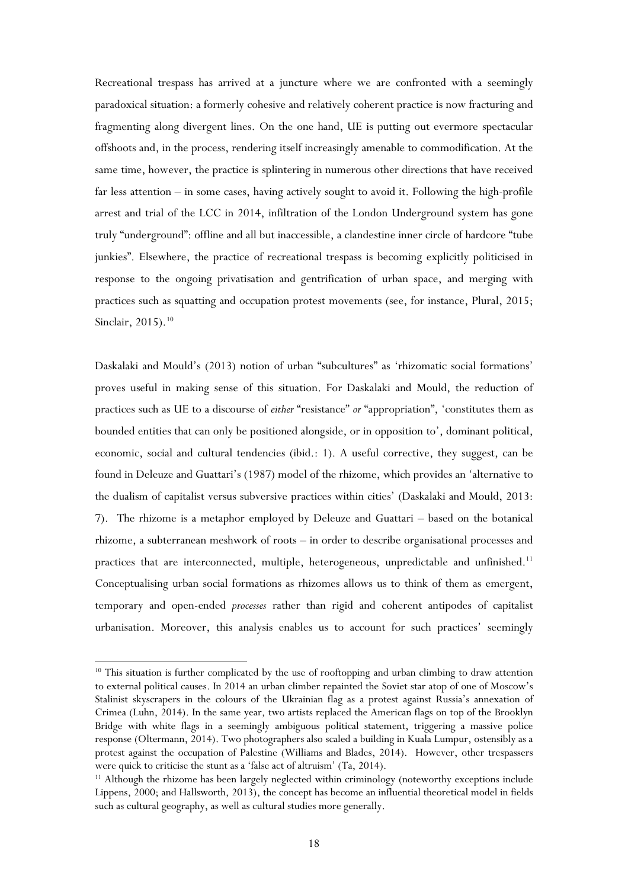Recreational trespass has arrived at a juncture where we are confronted with a seemingly paradoxical situation: a formerly cohesive and relatively coherent practice is now fracturing and fragmenting along divergent lines. On the one hand, UE is putting out evermore spectacular offshoots and, in the process, rendering itself increasingly amenable to commodification. At the same time, however, the practice is splintering in numerous other directions that have received far less attention – in some cases, having actively sought to avoid it. Following the high-profile arrest and trial of the LCC in 2014, infiltration of the London Underground system has gone truly "underground": offline and all but inaccessible, a clandestine inner circle of hardcore "tube junkies". Elsewhere, the practice of recreational trespass is becoming explicitly politicised in response to the ongoing privatisation and gentrification of urban space, and merging with practices such as squatting and occupation protest movements (see, for instance, Plural, 2015; Sinclair, 2015). [10](#page-18-0)

Daskalaki and Mould's (2013) notion of urban "subcultures" as 'rhizomatic social formations' proves useful in making sense of this situation. For Daskalaki and Mould, the reduction of practices such as UE to a discourse of *either* "resistance" *or* "appropriation", 'constitutes them as bounded entities that can only be positioned alongside, or in opposition to', dominant political, economic, social and cultural tendencies (ibid.: 1). A useful corrective, they suggest, can be found in Deleuze and Guattari's (1987) model of the rhizome, which provides an 'alternative to the dualism of capitalist versus subversive practices within cities' (Daskalaki and Mould, 2013: 7). The rhizome is a metaphor employed by Deleuze and Guattari – based on the botanical rhizome, a subterranean meshwork of roots – in order to describe organisational processes and practices that are interconnected, multiple, heterogeneous, unpredictable and unfinished.<sup>[11](#page-18-1)</sup> Conceptualising urban social formations as rhizomes allows us to think of them as emergent, temporary and open-ended *processes* rather than rigid and coherent antipodes of capitalist urbanisation. Moreover, this analysis enables us to account for such practices' seemingly

<span id="page-18-0"></span><sup>&</sup>lt;sup>10</sup> This situation is further complicated by the use of rooftopping and urban climbing to draw attention to external political causes. In 2014 an urban climber repainted the Soviet star atop of one of Moscow's Stalinist skyscrapers in the colours of the Ukrainian flag as a protest against Russia's annexation of Crimea (Luhn, 2014). In the same year, two artists replaced the American flags on top of the Brooklyn Bridge with white flags in a seemingly ambiguous political statement, triggering a massive police response (Oltermann, 2014). Two photographers also scaled a building in Kuala Lumpur, ostensibly as a protest against the occupation of Palestine (Williams and Blades, 2014). However, other trespassers were quick to criticise the stunt as a 'false act of altruism' (Ta, 2014).

<span id="page-18-1"></span><sup>&</sup>lt;sup>11</sup> Although the rhizome has been largely neglected within criminology (noteworthy exceptions include Lippens, 2000; and Hallsworth, 2013), the concept has become an influential theoretical model in fields such as cultural geography, as well as cultural studies more generally.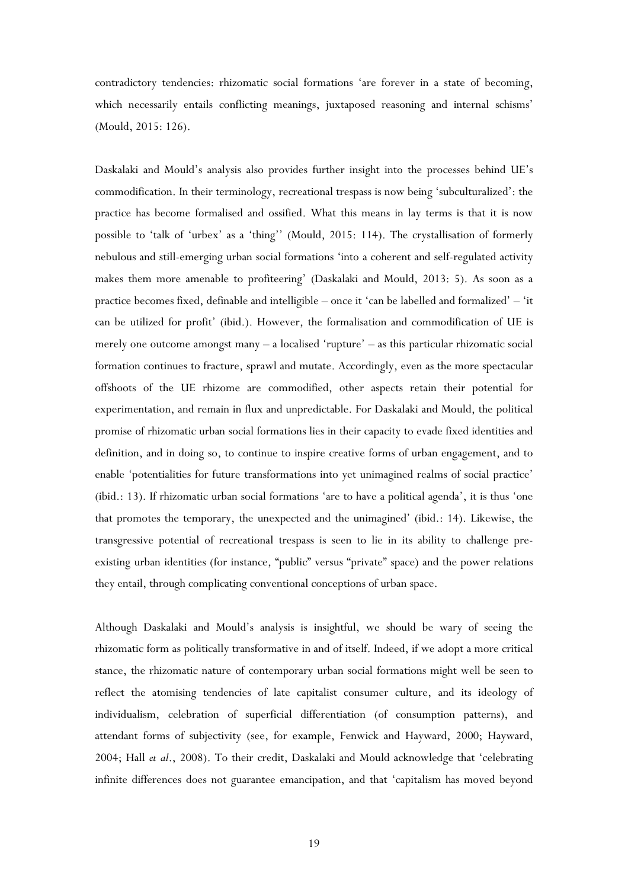contradictory tendencies: rhizomatic social formations 'are forever in a state of becoming, which necessarily entails conflicting meanings, juxtaposed reasoning and internal schisms' (Mould, 2015: 126).

Daskalaki and Mould's analysis also provides further insight into the processes behind UE's commodification. In their terminology, recreational trespass is now being 'subculturalized': the practice has become formalised and ossified. What this means in lay terms is that it is now possible to 'talk of 'urbex' as a 'thing'' (Mould, 2015: 114). The crystallisation of formerly nebulous and still-emerging urban social formations 'into a coherent and self-regulated activity makes them more amenable to profiteering' (Daskalaki and Mould, 2013: 5). As soon as a practice becomes fixed, definable and intelligible – once it 'can be labelled and formalized' – 'it can be utilized for profit' (ibid.). However, the formalisation and commodification of UE is merely one outcome amongst many – a localised 'rupture' – as this particular rhizomatic social formation continues to fracture, sprawl and mutate. Accordingly, even as the more spectacular offshoots of the UE rhizome are commodified, other aspects retain their potential for experimentation, and remain in flux and unpredictable. For Daskalaki and Mould, the political promise of rhizomatic urban social formations lies in their capacity to evade fixed identities and definition, and in doing so, to continue to inspire creative forms of urban engagement, and to enable 'potentialities for future transformations into yet unimagined realms of social practice' (ibid.: 13). If rhizomatic urban social formations 'are to have a political agenda', it is thus 'one that promotes the temporary, the unexpected and the unimagined' (ibid.: 14). Likewise, the transgressive potential of recreational trespass is seen to lie in its ability to challenge preexisting urban identities (for instance, "public" versus "private" space) and the power relations they entail, through complicating conventional conceptions of urban space.

Although Daskalaki and Mould's analysis is insightful, we should be wary of seeing the rhizomatic form as politically transformative in and of itself. Indeed, if we adopt a more critical stance, the rhizomatic nature of contemporary urban social formations might well be seen to reflect the atomising tendencies of late capitalist consumer culture, and its ideology of individualism, celebration of superficial differentiation (of consumption patterns), and attendant forms of subjectivity (see, for example, Fenwick and Hayward, 2000; Hayward, 2004; Hall *et al*., 2008). To their credit, Daskalaki and Mould acknowledge that 'celebrating infinite differences does not guarantee emancipation, and that 'capitalism has moved beyond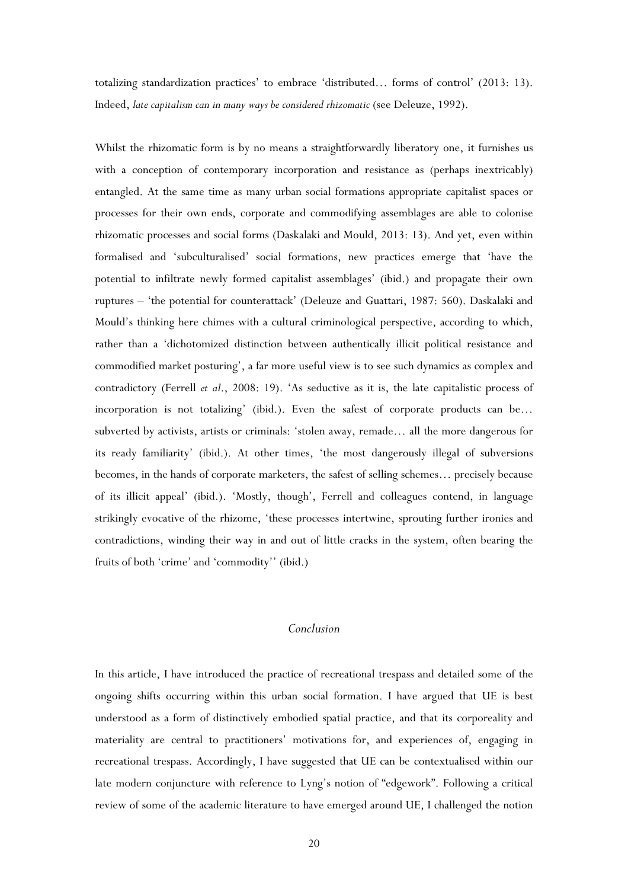totalizing standardization practices' to embrace 'distributed… forms of control' (2013: 13). Indeed, *late capitalism can in many ways be considered rhizomatic* (see Deleuze, 1992).

Whilst the rhizomatic form is by no means a straightforwardly liberatory one, it furnishes us with a conception of contemporary incorporation and resistance as (perhaps inextricably) entangled. At the same time as many urban social formations appropriate capitalist spaces or processes for their own ends, corporate and commodifying assemblages are able to colonise rhizomatic processes and social forms (Daskalaki and Mould, 2013: 13). And yet, even within formalised and 'subculturalised' social formations, new practices emerge that 'have the potential to infiltrate newly formed capitalist assemblages' (ibid.) and propagate their own ruptures – 'the potential for counterattack' (Deleuze and Guattari, 1987: 560). Daskalaki and Mould's thinking here chimes with a cultural criminological perspective, according to which, rather than a 'dichotomized distinction between authentically illicit political resistance and commodified market posturing', a far more useful view is to see such dynamics as complex and contradictory (Ferrell *et al*., 2008: 19). 'As seductive as it is, the late capitalistic process of incorporation is not totalizing' (ibid.). Even the safest of corporate products can be… subverted by activists, artists or criminals: 'stolen away, remade… all the more dangerous for its ready familiarity' (ibid.). At other times, 'the most dangerously illegal of subversions becomes, in the hands of corporate marketers, the safest of selling schemes… precisely because of its illicit appeal' (ibid.). 'Mostly, though', Ferrell and colleagues contend, in language strikingly evocative of the rhizome, 'these processes intertwine, sprouting further ironies and contradictions, winding their way in and out of little cracks in the system, often bearing the fruits of both 'crime' and 'commodity'' (ibid.)

## *Conclusion*

In this article, I have introduced the practice of recreational trespass and detailed some of the ongoing shifts occurring within this urban social formation. I have argued that UE is best understood as a form of distinctively embodied spatial practice, and that its corporeality and materiality are central to practitioners' motivations for, and experiences of, engaging in recreational trespass. Accordingly, I have suggested that UE can be contextualised within our late modern conjuncture with reference to Lyng's notion of "edgework". Following a critical review of some of the academic literature to have emerged around UE, I challenged the notion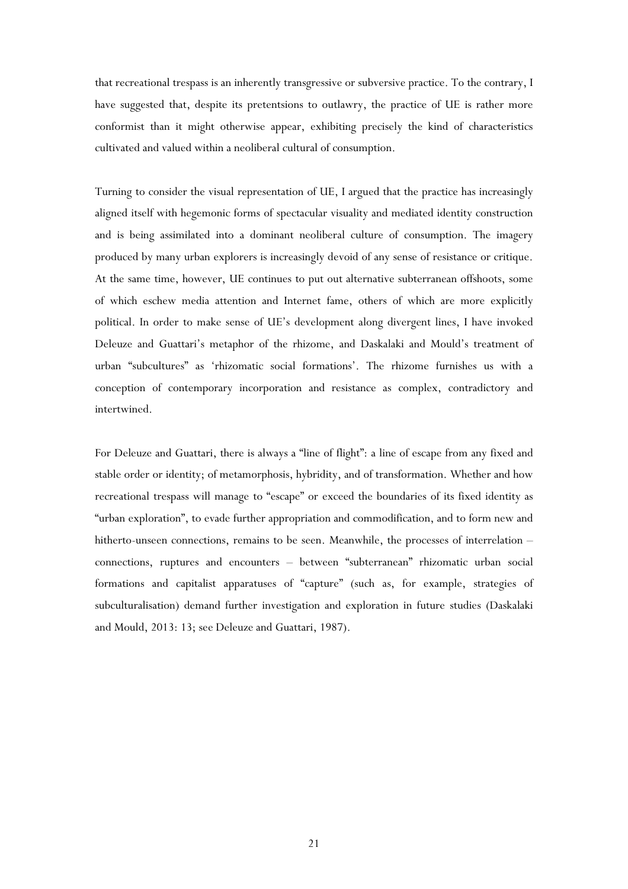that recreational trespass is an inherently transgressive or subversive practice. To the contrary, I have suggested that, despite its pretentsions to outlawry, the practice of UE is rather more conformist than it might otherwise appear, exhibiting precisely the kind of characteristics cultivated and valued within a neoliberal cultural of consumption.

Turning to consider the visual representation of UE, I argued that the practice has increasingly aligned itself with hegemonic forms of spectacular visuality and mediated identity construction and is being assimilated into a dominant neoliberal culture of consumption. The imagery produced by many urban explorers is increasingly devoid of any sense of resistance or critique. At the same time, however, UE continues to put out alternative subterranean offshoots, some of which eschew media attention and Internet fame, others of which are more explicitly political. In order to make sense of UE's development along divergent lines, I have invoked Deleuze and Guattari's metaphor of the rhizome, and Daskalaki and Mould's treatment of urban "subcultures" as 'rhizomatic social formations'. The rhizome furnishes us with a conception of contemporary incorporation and resistance as complex, contradictory and intertwined.

For Deleuze and Guattari, there is always a "line of flight": a line of escape from any fixed and stable order or identity; of metamorphosis, hybridity, and of transformation. Whether and how recreational trespass will manage to "escape" or exceed the boundaries of its fixed identity as "urban exploration", to evade further appropriation and commodification, and to form new and hitherto-unseen connections, remains to be seen. Meanwhile, the processes of interrelation – connections, ruptures and encounters – between "subterranean" rhizomatic urban social formations and capitalist apparatuses of "capture" (such as, for example, strategies of subculturalisation) demand further investigation and exploration in future studies (Daskalaki and Mould, 2013: 13; see Deleuze and Guattari, 1987).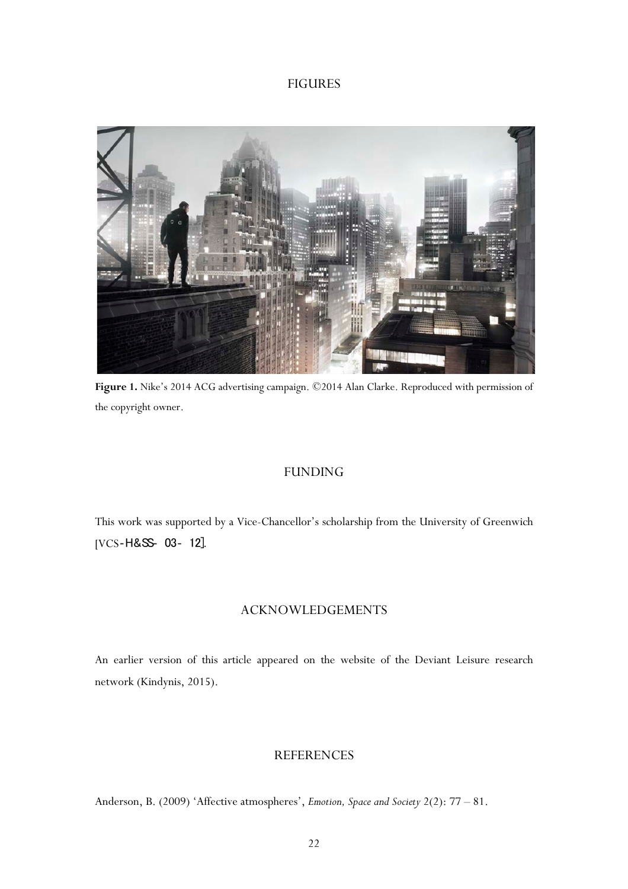## FIGURES



**Figure 1.** Nike's 2014 ACG advertising campaign. ©2014 Alan Clarke. Reproduced with permission of the copyright owner.

## FUNDING

This work was supported by a Vice-Chancellor's scholarship from the University of Greenwich [VCS‐H&SS‐ 03‐ 12].

## ACKNOWLEDGEMENTS

An earlier version of this article appeared on the website of the Deviant Leisure research network (Kindynis, 2015).

## **REFERENCES**

Anderson, B. (2009) 'Affective atmospheres', *Emotion, Space and Society* 2(2): 77 – 81.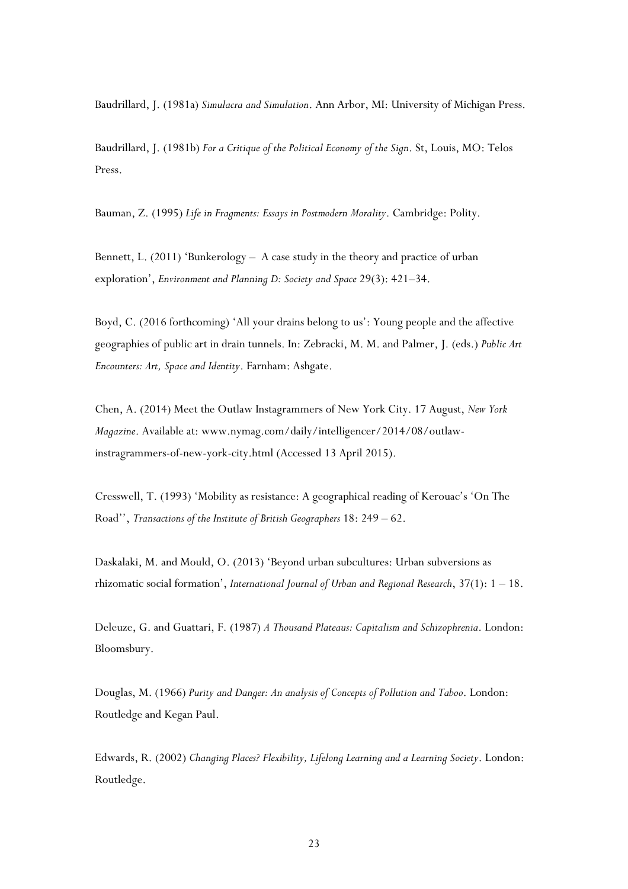Baudrillard, J. (1981a) *Simulacra and Simulation*. Ann Arbor, MI: University of Michigan Press.

Baudrillard, J. (1981b) *For a Critique of the Political Economy of the Sign*. St, Louis, MO: Telos Press.

Bauman, Z. (1995) *Life in Fragments: Essays in Postmodern Morality*. Cambridge: Polity.

Bennett, L. (2011) 'Bunkerology – A case study in the theory and practice of urban exploration', *Environment and Planning D: Society and Space* 29(3): 421–34.

Boyd, C. (2016 forthcoming) 'All your drains belong to us': Young people and the affective geographies of public art in drain tunnels. In: Zebracki, M. M. and Palmer, J. (eds.) *Public Art Encounters: Art, Space and Identity*. Farnham: Ashgate.

Chen, A. (2014) Meet the Outlaw Instagrammers of New York City. 17 August, *New York Magazine*. Available at: www.nymag.com/daily/intelligencer/2014/08/outlawinstragrammers-of-new-york-city.html (Accessed 13 April 2015).

Cresswell, T. (1993) 'Mobility as resistance: A geographical reading of Kerouac's 'On The Road'', *Transactions of the Institute of British Geographers* 18: 249 – 62.

Daskalaki, M. and Mould, O. (2013) 'Beyond urban subcultures: Urban subversions as rhizomatic social formation', *International Journal of Urban and Regional Research*, 37(1): 1 – 18.

Deleuze, G. and Guattari, F. (1987) *A Thousand Plateaus: Capitalism and Schizophrenia*. London: Bloomsbury.

Douglas, M. (1966) *Purity and Danger: An analysis of Concepts of Pollution and Taboo*. London: Routledge and Kegan Paul.

Edwards, R. (2002) *Changing Places? Flexibility, Lifelong Learning and a Learning Society*. London: Routledge.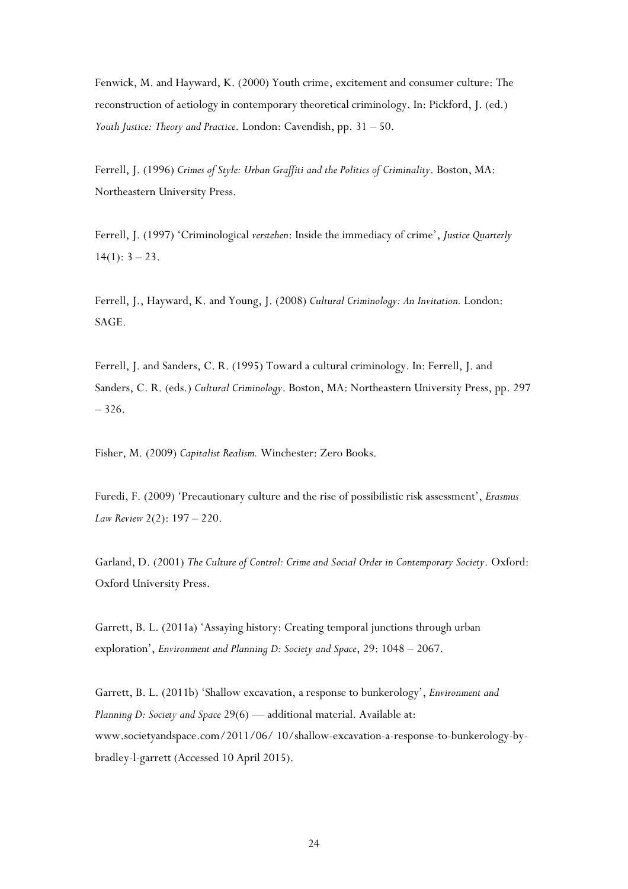Fenwick, M. and Hayward, K. (2000) Youth crime, excitement and consumer culture: The reconstruction of aetiology in contemporary theoretical criminology. In: Pickford, J. (ed.) *Youth Justice: Theory and Practice*. London: Cavendish, pp. 31 – 50.

Ferrell, J. (1996) *Crimes of Style: Urban Graffiti and the Politics of Criminality*. Boston, MA: Northeastern University Press.

Ferrell, J. (1997) 'Criminological *verstehen*: Inside the immediacy of crime', *Justice Quarterly*  $14(1): 3 - 23.$ 

Ferrell, J., Hayward, K. and Young, J. (2008) *Cultural Criminology: An Invitation.* London: SAGE.

Ferrell, J. and Sanders, C. R. (1995) Toward a cultural criminology. In: Ferrell, J. and Sanders, C. R. (eds.) *Cultural Criminology*. Boston, MA: Northeastern University Press, pp. 297 – 326.

Fisher, M. (2009) *Capitalist Realism.* Winchester: Zero Books.

Furedi, F. (2009) 'Precautionary culture and the rise of possibilistic risk assessment', *Erasmus Law Review* 2(2): 197 – 220.

Garland, D. (2001) *The Culture of Control: Crime and Social Order in Contemporary Society*. Oxford: Oxford University Press.

Garrett, B. L. (2011a) 'Assaying history: Creating temporal junctions through urban exploration', *Environment and Planning D: Society and Space*, 29: 1048 – 2067.

Garrett, B. L. (2011b) 'Shallow excavation, a response to bunkerology', *Environment and Planning D: Society and Space* 29(6) — additional material. Available at: www.societyandspace.com/2011/06/ 10/shallow-excavation-a-response-to-bunkerology-bybradley-l-garrett (Accessed 10 April 2015).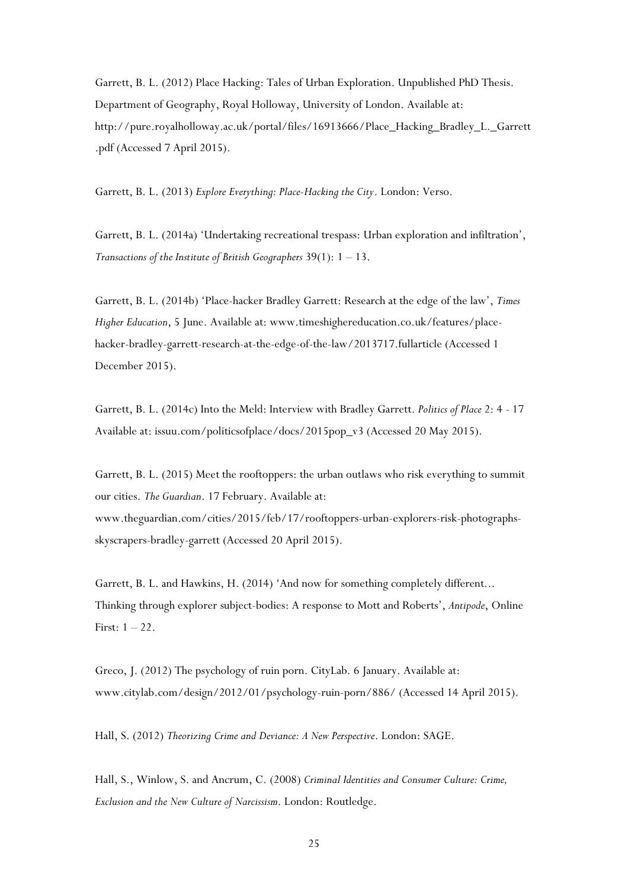Garrett, B. L. (2012) Place Hacking: Tales of Urban Exploration. Unpublished PhD Thesis. Department of Geography, Royal Holloway, University of London. Available at: http://pure.royalholloway.ac.uk/portal/files/16913666/Place\_Hacking\_Bradley\_L.\_Garrett .pdf (Accessed 7 April 2015).

Garrett, B. L. (2013) *Explore Everything: Place-Hacking the City*. London: Verso.

Garrett, B. L. (2014a) 'Undertaking recreational trespass: Urban exploration and infiltration', *Transactions of the Institute of British Geographers* 39(1): 1 – 13.

Garrett, B. L. (2014b) 'Place-hacker Bradley Garrett: Research at the edge of the law', *Times Higher Education*, 5 June. Available at: www.timeshighereducation.co.uk/features/placehacker-bradley-garrett-research-at-the-edge-of-the-law/2013717.fullarticle (Accessed 1 December 2015).

Garrett, B. L. (2014c) Into the Meld: Interview with Bradley Garrett. *Politics of Place* 2: 4 - 17 Available at: issuu.com/politicsofplace/docs/2015pop\_v3 (Accessed 20 May 2015).

Garrett, B. L. (2015) Meet the rooftoppers: the urban outlaws who risk everything to summit our cities. *The Guardian*. 17 February. Available at: www.theguardian.com/cities/2015/feb/17/rooftoppers-urban-explorers-risk-photographsskyscrapers-bradley-garrett (Accessed 20 April 2015).

Garrett, B. L. and Hawkins, H. (2014) 'And now for something completely different... Thinking through explorer subject-bodies: A response to Mott and Roberts', *Antipode*, Online First:  $1 - 22$ .

Greco, J. (2012) The psychology of ruin porn. CityLab. 6 January. Available at: www.citylab.com/design/2012/01/psychology-ruin-porn/886/ (Accessed 14 April 2015).

Hall, S. (2012) *Theorizing Crime and Deviance: A New Perspective*. London: SAGE.

Hall, S., Winlow, S. and Ancrum, C. (2008) *Criminal Identities and Consumer Culture: Crime, Exclusion and the New Culture of Narcissism*. London: Routledge.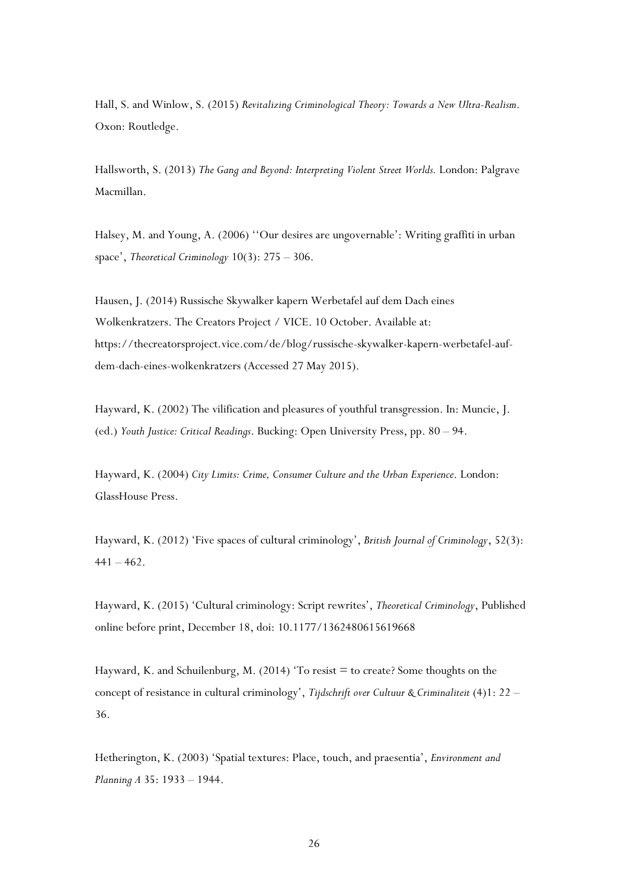Hall, S. and Winlow, S. (2015) *Revitalizing Criminological Theory: Towards a New Ultra-Realism*. Oxon: Routledge.

Hallsworth, S. (2013) *The Gang and Beyond: Interpreting Violent Street Worlds.* London: Palgrave Macmillan.

Halsey, M. and Young, A. (2006) ''Our desires are ungovernable': Writing graffiti in urban space', *Theoretical Criminology* 10(3): 275 – 306.

Hausen, J. (2014) Russische Skywalker kapern Werbetafel auf dem Dach eines Wolkenkratzers. The Creators Project / VICE. 10 October. Available at: https://thecreatorsproject.vice.com/de/blog/russische-skywalker-kapern-werbetafel-aufdem-dach-eines-wolkenkratzers (Accessed 27 May 2015).

Hayward, K. (2002) The vilification and pleasures of youthful transgression. In: Muncie, J. (ed.) *Youth Justice: Critical Readings*. Bucking: Open University Press, pp. 80 – 94.

Hayward, K. (2004) *City Limits: Crime, Consumer Culture and the Urban Experience*. London: GlassHouse Press.

Hayward, K. (2012) 'Five spaces of cultural criminology', *British Journal of Criminology*, 52(3):  $441 - 462.$ 

Hayward, K. (2015) 'Cultural criminology: Script rewrites', *Theoretical Criminology*, Published online before print, December 18, doi: 10.1177/1362480615619668

Hayward, K. and Schuilenburg, M. (2014) 'To resist  $=$  to create? Some thoughts on the concept of resistance in cultural criminology', *Tijdschrift over Cultuur & Criminaliteit* (4)1: 22 – 36.

Hetherington, K. (2003) 'Spatial textures: Place, touch, and praesentia', *Environment and Planning A* 35: 1933 – 1944.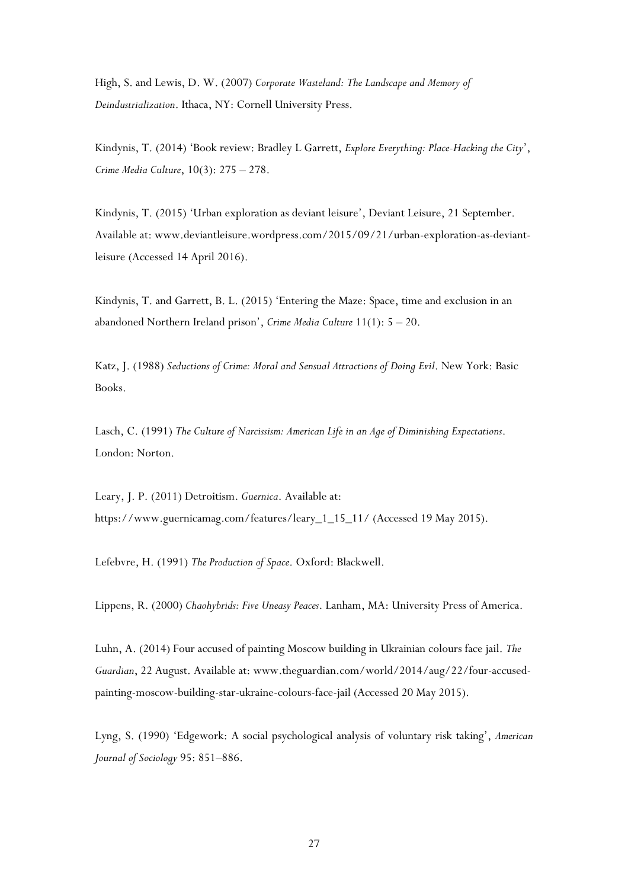High, S. and Lewis, D. W. (2007) *Corporate Wasteland: The Landscape and Memory of Deindustrialization*. Ithaca, NY: Cornell University Press.

Kindynis, T. (2014) 'Book review: Bradley L Garrett, *Explore Everything: Place-Hacking the City*', *Crime Media Culture*, 10(3): 275 – 278.

Kindynis, T. (2015) 'Urban exploration as deviant leisure', Deviant Leisure, 21 September. Available at: www.deviantleisure.wordpress.com/2015/09/21/urban-exploration-as-deviantleisure (Accessed 14 April 2016).

Kindynis, T. and Garrett, B. L. (2015) 'Entering the Maze: Space, time and exclusion in an abandoned Northern Ireland prison', *Crime Media Culture* 11(1): 5 – 20.

Katz, J. (1988) *Seductions of Crime: Moral and Sensual Attractions of Doing Evil*. New York: Basic Books.

Lasch, C. (1991) *The Culture of Narcissism: American Life in an Age of Diminishing Expectations*. London: Norton.

Leary, J. P. (2011) Detroitism. *Guernica*. Available at: https://www.guernicamag.com/features/leary\_1\_15\_11/ (Accessed 19 May 2015).

Lefebvre, H. (1991) *The Production of Space*. Oxford: Blackwell.

Lippens, R. (2000) *Chaohybrids: Five Uneasy Peaces*. Lanham, MA: University Press of America.

Luhn, A. (2014) Four accused of painting Moscow building in Ukrainian colours face jail. *The Guardian*, 22 August. Available at: www.theguardian.com/world/2014/aug/22/four-accusedpainting-moscow-building-star-ukraine-colours-face-jail (Accessed 20 May 2015).

Lyng, S. (1990) 'Edgework: A social psychological analysis of voluntary risk taking', *American Journal of Sociology* 95: 851–886.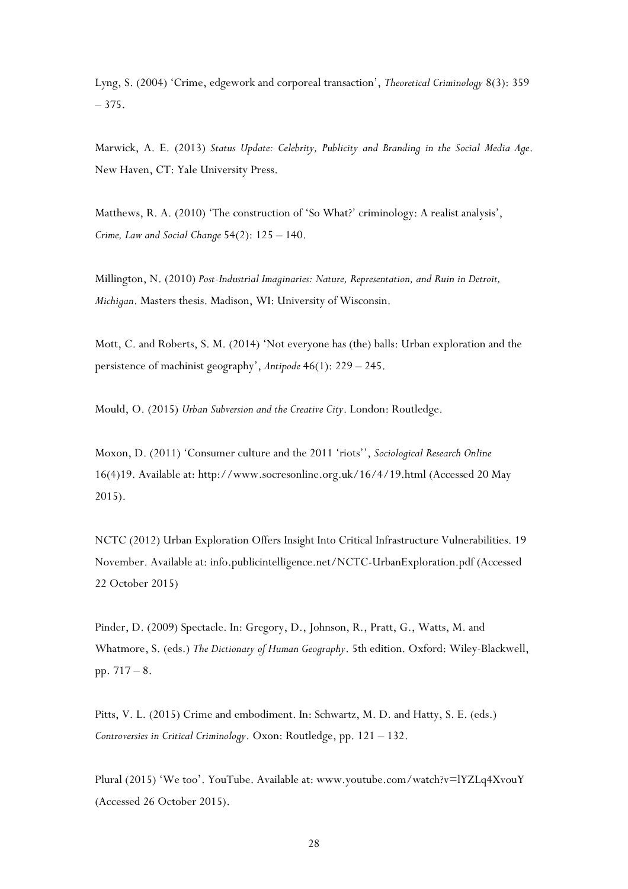Lyng, S. (2004) 'Crime, edgework and corporeal transaction', *Theoretical Criminology* 8(3): 359 – 375.

Marwick, A. E. (2013) *Status Update: Celebrity, Publicity and Branding in the Social Media Age*. New Haven, CT: Yale University Press.

Matthews, R. A. (2010) 'The construction of 'So What?' criminology: A realist analysis', *Crime, Law and Social Change* 54(2): 125 – 140.

Millington, N. (2010) *Post-Industrial Imaginaries: Nature, Representation, and Ruin in Detroit, Michigan*. Masters thesis. Madison, WI: University of Wisconsin.

Mott, C. and Roberts, S. M. (2014) 'Not everyone has (the) balls: Urban exploration and the persistence of machinist geography', *Antipode* 46(1): 229 – 245.

Mould, O. (2015) *Urban Subversion and the Creative City*. London: Routledge.

Moxon, D. (2011) 'Consumer culture and the 2011 'riots'', *Sociological Research Online* 16(4)19. Available at: http://www.socresonline.org.uk/16/4/19.html (Accessed 20 May 2015).

NCTC (2012) Urban Exploration Offers Insight Into Critical Infrastructure Vulnerabilities. 19 November. Available at: info.publicintelligence.net/NCTC-UrbanExploration.pdf (Accessed 22 October 2015)

Pinder, D. (2009) Spectacle. In: Gregory, D., Johnson, R., Pratt, G., Watts, M. and Whatmore, S. (eds.) *The Dictionary of Human Geography*. 5th edition. Oxford: Wiley-Blackwell, pp. 717 – 8.

Pitts, V. L. (2015) Crime and embodiment. In: Schwartz, M. D. and Hatty, S. E. (eds.) *Controversies in Critical Criminology*. Oxon: Routledge, pp. 121 – 132.

Plural (2015) 'We too'. YouTube. Available at: www.youtube.com/watch?v=lYZLq4XvouY (Accessed 26 October 2015).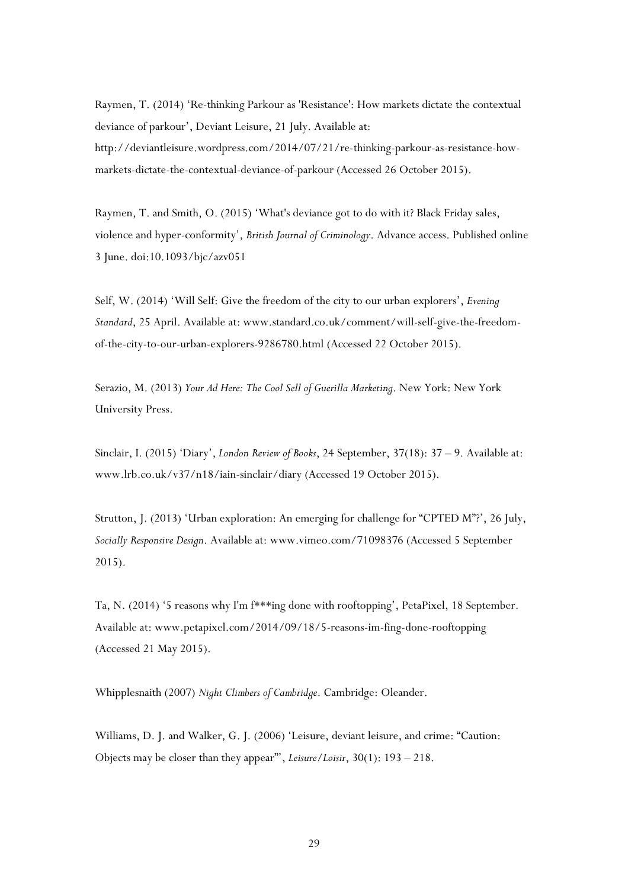Raymen, T. (2014) 'Re-thinking Parkour as 'Resistance': How markets dictate the contextual deviance of parkour', Deviant Leisure, 21 July. Available at: http://deviantleisure.wordpress.com/2014/07/21/re-thinking-parkour-as-resistance-howmarkets-dictate-the-contextual-deviance-of-parkour (Accessed 26 October 2015).

Raymen, T. and Smith, O. (2015) 'What's deviance got to do with it? Black Friday sales, violence and hyper-conformity', *British Journal of Criminology*. Advance access. Published online 3 June. doi:10.1093/bjc/azv051

Self, W. (2014) 'Will Self: Give the freedom of the city to our urban explorers', *Evening Standard*, 25 April. Available at: www.standard.co.uk/comment/will-self-give-the-freedomof-the-city-to-our-urban-explorers-9286780.html (Accessed 22 October 2015).

Serazio, M. (2013) *Your Ad Here: The Cool Sell of Guerilla Marketing*. New York: New York University Press.

Sinclair, I. (2015) 'Diary', *London Review of Books*, 24 September, 37(18): 37 – 9. Available at: www.lrb.co.uk/v37/n18/iain-sinclair/diary (Accessed 19 October 2015).

Strutton, J. (2013) 'Urban exploration: An emerging for challenge for "CPTED M"?', 26 July, *Socially Responsive Design*. Available at: www.vimeo.com/71098376 (Accessed 5 September 2015).

Ta, N. (2014) '5 reasons why I'm f\*\*\*ing done with rooftopping', PetaPixel, 18 September. Available at: www.petapixel.com/2014/09/18/5-reasons-im-fing-done-rooftopping (Accessed 21 May 2015).

Whipplesnaith (2007) *Night Climbers of Cambridge*. Cambridge: Oleander.

Williams, D. J. and Walker, G. J. (2006) 'Leisure, deviant leisure, and crime: "Caution: Objects may be closer than they appear"', *Leisure/Loisir*, 30(1): 193 – 218.